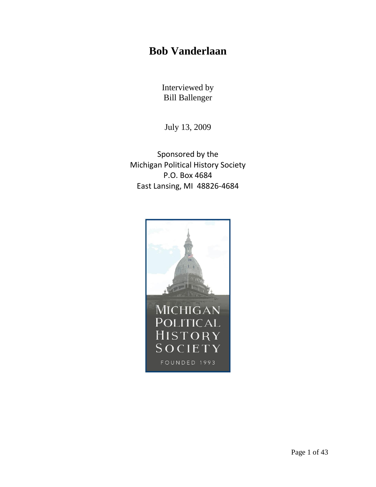## **Bob Vanderlaan**

Interviewed by Bill Ballenger

July 13, 2009

Sponsored by the Michigan Political History Society P.O. Box 4684 East Lansing, MI 48826-4684

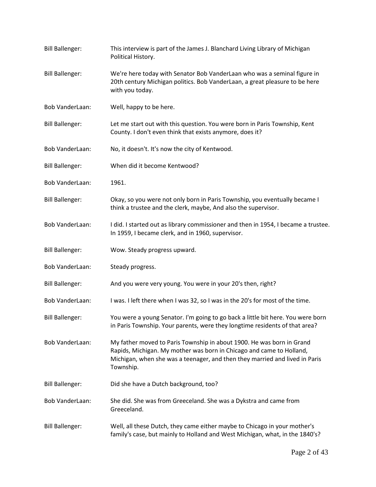| <b>Bill Ballenger:</b> | This interview is part of the James J. Blanchard Living Library of Michigan<br>Political History.                                                                                                                                         |
|------------------------|-------------------------------------------------------------------------------------------------------------------------------------------------------------------------------------------------------------------------------------------|
| <b>Bill Ballenger:</b> | We're here today with Senator Bob VanderLaan who was a seminal figure in<br>20th century Michigan politics. Bob VanderLaan, a great pleasure to be here<br>with you today.                                                                |
| Bob VanderLaan:        | Well, happy to be here.                                                                                                                                                                                                                   |
| <b>Bill Ballenger:</b> | Let me start out with this question. You were born in Paris Township, Kent<br>County. I don't even think that exists anymore, does it?                                                                                                    |
| <b>Bob VanderLaan:</b> | No, it doesn't. It's now the city of Kentwood.                                                                                                                                                                                            |
| <b>Bill Ballenger:</b> | When did it become Kentwood?                                                                                                                                                                                                              |
| <b>Bob VanderLaan:</b> | 1961.                                                                                                                                                                                                                                     |
| <b>Bill Ballenger:</b> | Okay, so you were not only born in Paris Township, you eventually became I<br>think a trustee and the clerk, maybe, And also the supervisor.                                                                                              |
| Bob VanderLaan:        | I did. I started out as library commissioner and then in 1954, I became a trustee.<br>In 1959, I became clerk, and in 1960, supervisor.                                                                                                   |
| <b>Bill Ballenger:</b> | Wow. Steady progress upward.                                                                                                                                                                                                              |
| <b>Bob VanderLaan:</b> | Steady progress.                                                                                                                                                                                                                          |
| <b>Bill Ballenger:</b> | And you were very young. You were in your 20's then, right?                                                                                                                                                                               |
| Bob VanderLaan:        | I was. I left there when I was 32, so I was in the 20's for most of the time.                                                                                                                                                             |
| <b>Bill Ballenger:</b> | You were a young Senator. I'm going to go back a little bit here. You were born<br>in Paris Township. Your parents, were they longtime residents of that area?                                                                            |
| <b>Bob VanderLaan:</b> | My father moved to Paris Township in about 1900. He was born in Grand<br>Rapids, Michigan. My mother was born in Chicago and came to Holland,<br>Michigan, when she was a teenager, and then they married and lived in Paris<br>Township. |
| <b>Bill Ballenger:</b> | Did she have a Dutch background, too?                                                                                                                                                                                                     |
| Bob VanderLaan:        | She did. She was from Greeceland. She was a Dykstra and came from<br>Greeceland.                                                                                                                                                          |
| <b>Bill Ballenger:</b> | Well, all these Dutch, they came either maybe to Chicago in your mother's<br>family's case, but mainly to Holland and West Michigan, what, in the 1840's?                                                                                 |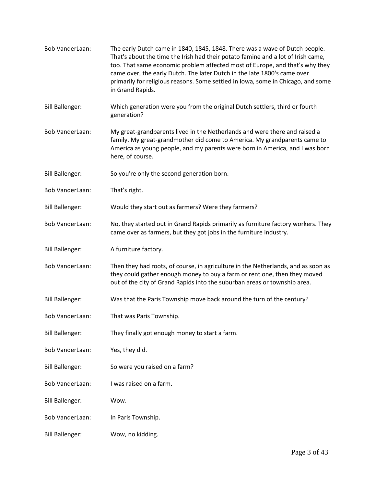| Bob VanderLaan:        | The early Dutch came in 1840, 1845, 1848. There was a wave of Dutch people.<br>That's about the time the Irish had their potato famine and a lot of Irish came,<br>too. That same economic problem affected most of Europe, and that's why they<br>came over, the early Dutch. The later Dutch in the late 1800's came over<br>primarily for religious reasons. Some settled in Iowa, some in Chicago, and some<br>in Grand Rapids. |
|------------------------|-------------------------------------------------------------------------------------------------------------------------------------------------------------------------------------------------------------------------------------------------------------------------------------------------------------------------------------------------------------------------------------------------------------------------------------|
| <b>Bill Ballenger:</b> | Which generation were you from the original Dutch settlers, third or fourth<br>generation?                                                                                                                                                                                                                                                                                                                                          |
| <b>Bob VanderLaan:</b> | My great-grandparents lived in the Netherlands and were there and raised a<br>family. My great-grandmother did come to America. My grandparents came to<br>America as young people, and my parents were born in America, and I was born<br>here, of course.                                                                                                                                                                         |
| <b>Bill Ballenger:</b> | So you're only the second generation born.                                                                                                                                                                                                                                                                                                                                                                                          |
| <b>Bob VanderLaan:</b> | That's right.                                                                                                                                                                                                                                                                                                                                                                                                                       |
| <b>Bill Ballenger:</b> | Would they start out as farmers? Were they farmers?                                                                                                                                                                                                                                                                                                                                                                                 |
| Bob VanderLaan:        | No, they started out in Grand Rapids primarily as furniture factory workers. They<br>came over as farmers, but they got jobs in the furniture industry.                                                                                                                                                                                                                                                                             |
| <b>Bill Ballenger:</b> | A furniture factory.                                                                                                                                                                                                                                                                                                                                                                                                                |
| Bob VanderLaan:        | Then they had roots, of course, in agriculture in the Netherlands, and as soon as<br>they could gather enough money to buy a farm or rent one, then they moved<br>out of the city of Grand Rapids into the suburban areas or township area.                                                                                                                                                                                         |
| <b>Bill Ballenger:</b> | Was that the Paris Township move back around the turn of the century?                                                                                                                                                                                                                                                                                                                                                               |
| Bob VanderLaan:        | That was Paris Township.                                                                                                                                                                                                                                                                                                                                                                                                            |
| <b>Bill Ballenger:</b> | They finally got enough money to start a farm.                                                                                                                                                                                                                                                                                                                                                                                      |
| <b>Bob VanderLaan:</b> | Yes, they did.                                                                                                                                                                                                                                                                                                                                                                                                                      |
| <b>Bill Ballenger:</b> | So were you raised on a farm?                                                                                                                                                                                                                                                                                                                                                                                                       |
| Bob VanderLaan:        | I was raised on a farm.                                                                                                                                                                                                                                                                                                                                                                                                             |
| <b>Bill Ballenger:</b> | Wow.                                                                                                                                                                                                                                                                                                                                                                                                                                |
| Bob VanderLaan:        | In Paris Township.                                                                                                                                                                                                                                                                                                                                                                                                                  |
| <b>Bill Ballenger:</b> | Wow, no kidding.                                                                                                                                                                                                                                                                                                                                                                                                                    |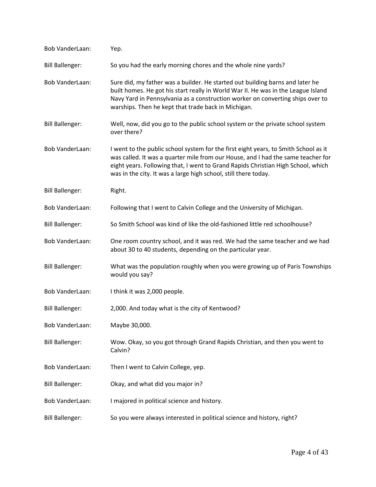| Bob VanderLaan:        | Yep.                                                                                                                                                                                                                                                                                                                           |
|------------------------|--------------------------------------------------------------------------------------------------------------------------------------------------------------------------------------------------------------------------------------------------------------------------------------------------------------------------------|
| <b>Bill Ballenger:</b> | So you had the early morning chores and the whole nine yards?                                                                                                                                                                                                                                                                  |
| <b>Bob VanderLaan:</b> | Sure did, my father was a builder. He started out building barns and later he<br>built homes. He got his start really in World War II. He was in the League Island<br>Navy Yard in Pennsylvania as a construction worker on converting ships over to<br>warships. Then he kept that trade back in Michigan.                    |
| <b>Bill Ballenger:</b> | Well, now, did you go to the public school system or the private school system<br>over there?                                                                                                                                                                                                                                  |
| <b>Bob VanderLaan:</b> | I went to the public school system for the first eight years, to Smith School as it<br>was called. It was a quarter mile from our House, and I had the same teacher for<br>eight years. Following that, I went to Grand Rapids Christian High School, which<br>was in the city. It was a large high school, still there today. |
| <b>Bill Ballenger:</b> | Right.                                                                                                                                                                                                                                                                                                                         |
| Bob VanderLaan:        | Following that I went to Calvin College and the University of Michigan.                                                                                                                                                                                                                                                        |
| <b>Bill Ballenger:</b> | So Smith School was kind of like the old-fashioned little red schoolhouse?                                                                                                                                                                                                                                                     |
| Bob VanderLaan:        | One room country school, and it was red. We had the same teacher and we had<br>about 30 to 40 students, depending on the particular year.                                                                                                                                                                                      |
| <b>Bill Ballenger:</b> | What was the population roughly when you were growing up of Paris Townships<br>would you say?                                                                                                                                                                                                                                  |
| Bob VanderLaan:        | I think it was 2,000 people.                                                                                                                                                                                                                                                                                                   |
| <b>Bill Ballenger:</b> | 2,000. And today what is the city of Kentwood?                                                                                                                                                                                                                                                                                 |
| Bob VanderLaan:        | Maybe 30,000.                                                                                                                                                                                                                                                                                                                  |
| <b>Bill Ballenger:</b> | Wow. Okay, so you got through Grand Rapids Christian, and then you went to<br>Calvin?                                                                                                                                                                                                                                          |
| <b>Bob VanderLaan:</b> | Then I went to Calvin College, yep.                                                                                                                                                                                                                                                                                            |
| <b>Bill Ballenger:</b> | Okay, and what did you major in?                                                                                                                                                                                                                                                                                               |
| Bob VanderLaan:        | I majored in political science and history.                                                                                                                                                                                                                                                                                    |
| <b>Bill Ballenger:</b> | So you were always interested in political science and history, right?                                                                                                                                                                                                                                                         |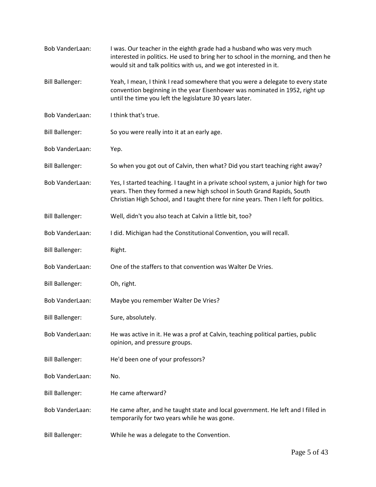| Bob VanderLaan:        | I was. Our teacher in the eighth grade had a husband who was very much<br>interested in politics. He used to bring her to school in the morning, and then he<br>would sit and talk politics with us, and we got interested in it.                    |
|------------------------|------------------------------------------------------------------------------------------------------------------------------------------------------------------------------------------------------------------------------------------------------|
| <b>Bill Ballenger:</b> | Yeah, I mean, I think I read somewhere that you were a delegate to every state<br>convention beginning in the year Eisenhower was nominated in 1952, right up<br>until the time you left the legislature 30 years later.                             |
| Bob VanderLaan:        | I think that's true.                                                                                                                                                                                                                                 |
| <b>Bill Ballenger:</b> | So you were really into it at an early age.                                                                                                                                                                                                          |
| Bob VanderLaan:        | Yep.                                                                                                                                                                                                                                                 |
| <b>Bill Ballenger:</b> | So when you got out of Calvin, then what? Did you start teaching right away?                                                                                                                                                                         |
| Bob VanderLaan:        | Yes, I started teaching. I taught in a private school system, a junior high for two<br>years. Then they formed a new high school in South Grand Rapids, South<br>Christian High School, and I taught there for nine years. Then I left for politics. |
| <b>Bill Ballenger:</b> | Well, didn't you also teach at Calvin a little bit, too?                                                                                                                                                                                             |
| Bob VanderLaan:        | I did. Michigan had the Constitutional Convention, you will recall.                                                                                                                                                                                  |
| <b>Bill Ballenger:</b> | Right.                                                                                                                                                                                                                                               |
| Bob VanderLaan:        | One of the staffers to that convention was Walter De Vries.                                                                                                                                                                                          |
| <b>Bill Ballenger:</b> | Oh, right.                                                                                                                                                                                                                                           |
| Bob VanderLaan:        | Maybe you remember Walter De Vries?                                                                                                                                                                                                                  |
| <b>Bill Ballenger:</b> | Sure, absolutely.                                                                                                                                                                                                                                    |
| Bob VanderLaan:        | He was active in it. He was a prof at Calvin, teaching political parties, public<br>opinion, and pressure groups.                                                                                                                                    |
| <b>Bill Ballenger:</b> | He'd been one of your professors?                                                                                                                                                                                                                    |
| Bob VanderLaan:        | No.                                                                                                                                                                                                                                                  |
| <b>Bill Ballenger:</b> | He came afterward?                                                                                                                                                                                                                                   |
| <b>Bob VanderLaan:</b> | He came after, and he taught state and local government. He left and I filled in<br>temporarily for two years while he was gone.                                                                                                                     |
| <b>Bill Ballenger:</b> | While he was a delegate to the Convention.                                                                                                                                                                                                           |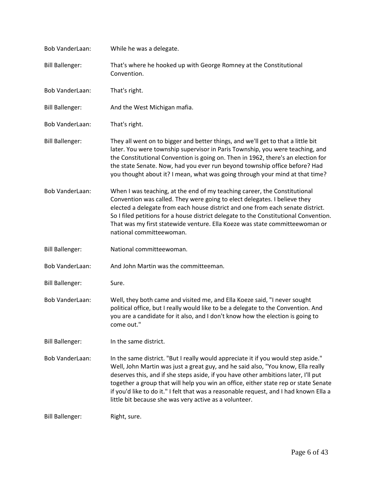| Bob VanderLaan:        | While he was a delegate.                                                                                                                                                                                                                                                                                                                                                                                                                    |
|------------------------|---------------------------------------------------------------------------------------------------------------------------------------------------------------------------------------------------------------------------------------------------------------------------------------------------------------------------------------------------------------------------------------------------------------------------------------------|
| <b>Bill Ballenger:</b> | That's where he hooked up with George Romney at the Constitutional<br>Convention.                                                                                                                                                                                                                                                                                                                                                           |
| Bob VanderLaan:        | That's right.                                                                                                                                                                                                                                                                                                                                                                                                                               |
| <b>Bill Ballenger:</b> | And the West Michigan mafia.                                                                                                                                                                                                                                                                                                                                                                                                                |
| <b>Bob VanderLaan:</b> | That's right.                                                                                                                                                                                                                                                                                                                                                                                                                               |
| <b>Bill Ballenger:</b> | They all went on to bigger and better things, and we'll get to that a little bit<br>later. You were township supervisor in Paris Township, you were teaching, and<br>the Constitutional Convention is going on. Then in 1962, there's an election for<br>the state Senate. Now, had you ever run beyond township office before? Had<br>you thought about it? I mean, what was going through your mind at that time?                         |
| Bob VanderLaan:        | When I was teaching, at the end of my teaching career, the Constitutional<br>Convention was called. They were going to elect delegates. I believe they<br>elected a delegate from each house district and one from each senate district.<br>So I filed petitions for a house district delegate to the Constitutional Convention.<br>That was my first statewide venture. Ella Koeze was state committeewoman or<br>national committeewoman. |
| <b>Bill Ballenger:</b> | National committeewoman.                                                                                                                                                                                                                                                                                                                                                                                                                    |
| Bob VanderLaan:        | And John Martin was the committeeman.                                                                                                                                                                                                                                                                                                                                                                                                       |
| <b>Bill Ballenger:</b> | Sure.                                                                                                                                                                                                                                                                                                                                                                                                                                       |
| <b>Bob VanderLaan:</b> | Well, they both came and visited me, and Ella Koeze said, "I never sought<br>political office, but I really would like to be a delegate to the Convention. And<br>you are a candidate for it also, and I don't know how the election is going to<br>come out."                                                                                                                                                                              |
| <b>Bill Ballenger:</b> | In the same district.                                                                                                                                                                                                                                                                                                                                                                                                                       |
| <b>Bob VanderLaan:</b> | In the same district. "But I really would appreciate it if you would step aside."<br>Well, John Martin was just a great guy, and he said also, "You know, Ella really<br>deserves this, and if she steps aside, if you have other ambitions later, I'll put                                                                                                                                                                                 |
|                        | together a group that will help you win an office, either state rep or state Senate<br>if you'd like to do it." I felt that was a reasonable request, and I had known Ella a<br>little bit because she was very active as a volunteer.                                                                                                                                                                                                      |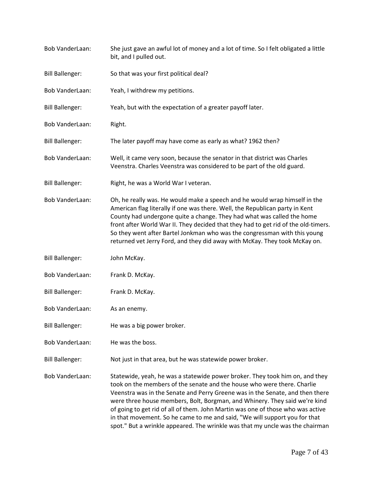| Bob VanderLaan:        | She just gave an awful lot of money and a lot of time. So I felt obligated a little<br>bit, and I pulled out.                                                                                                                                                                                                                                                                                                                                                                         |
|------------------------|---------------------------------------------------------------------------------------------------------------------------------------------------------------------------------------------------------------------------------------------------------------------------------------------------------------------------------------------------------------------------------------------------------------------------------------------------------------------------------------|
| <b>Bill Ballenger:</b> | So that was your first political deal?                                                                                                                                                                                                                                                                                                                                                                                                                                                |
| Bob VanderLaan:        | Yeah, I withdrew my petitions.                                                                                                                                                                                                                                                                                                                                                                                                                                                        |
| <b>Bill Ballenger:</b> | Yeah, but with the expectation of a greater payoff later.                                                                                                                                                                                                                                                                                                                                                                                                                             |
| <b>Bob VanderLaan:</b> | Right.                                                                                                                                                                                                                                                                                                                                                                                                                                                                                |
| <b>Bill Ballenger:</b> | The later payoff may have come as early as what? 1962 then?                                                                                                                                                                                                                                                                                                                                                                                                                           |
| Bob VanderLaan:        | Well, it came very soon, because the senator in that district was Charles<br>Veenstra. Charles Veenstra was considered to be part of the old guard.                                                                                                                                                                                                                                                                                                                                   |
| <b>Bill Ballenger:</b> | Right, he was a World War I veteran.                                                                                                                                                                                                                                                                                                                                                                                                                                                  |
| Bob VanderLaan:        | Oh, he really was. He would make a speech and he would wrap himself in the<br>American flag literally if one was there. Well, the Republican party in Kent<br>County had undergone quite a change. They had what was called the home<br>front after World War II. They decided that they had to get rid of the old-timers.<br>So they went after Bartel Jonkman who was the congressman with this young<br>returned vet Jerry Ford, and they did away with McKay. They took McKay on. |
| <b>Bill Ballenger:</b> | John McKay.                                                                                                                                                                                                                                                                                                                                                                                                                                                                           |
| Bob VanderLaan:        | Frank D. McKay.                                                                                                                                                                                                                                                                                                                                                                                                                                                                       |
| <b>Bill Ballenger:</b> | Frank D. McKay.                                                                                                                                                                                                                                                                                                                                                                                                                                                                       |
| Bob VanderLaan:        | As an enemy.                                                                                                                                                                                                                                                                                                                                                                                                                                                                          |
| <b>Bill Ballenger:</b> | He was a big power broker.                                                                                                                                                                                                                                                                                                                                                                                                                                                            |
| <b>Bob VanderLaan:</b> | He was the boss.                                                                                                                                                                                                                                                                                                                                                                                                                                                                      |
| <b>Bill Ballenger:</b> | Not just in that area, but he was statewide power broker.                                                                                                                                                                                                                                                                                                                                                                                                                             |
| <b>Bob VanderLaan:</b> | Statewide, yeah, he was a statewide power broker. They took him on, and they<br>took on the members of the senate and the house who were there. Charlie                                                                                                                                                                                                                                                                                                                               |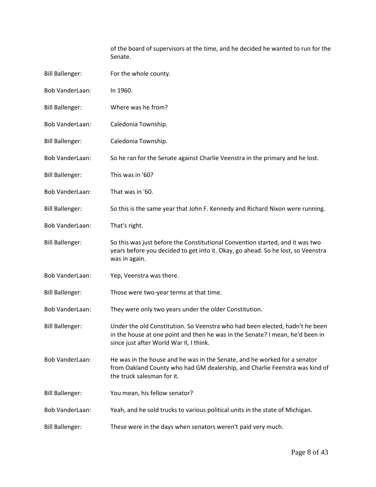of the board of supervisors at the time, and he decided he wanted to run for the Senate.

| <b>Bill Ballenger:</b> | For the whole county.                                                                                                                                                                                    |
|------------------------|----------------------------------------------------------------------------------------------------------------------------------------------------------------------------------------------------------|
| Bob VanderLaan:        | In 1960.                                                                                                                                                                                                 |
| <b>Bill Ballenger:</b> | Where was he from?                                                                                                                                                                                       |
| Bob VanderLaan:        | Caledonia Township.                                                                                                                                                                                      |
| <b>Bill Ballenger:</b> | Caledonia Township.                                                                                                                                                                                      |
| <b>Bob VanderLaan:</b> | So he ran for the Senate against Charlie Veenstra in the primary and he lost.                                                                                                                            |
| <b>Bill Ballenger:</b> | This was in '60?                                                                                                                                                                                         |
| <b>Bob VanderLaan:</b> | That was in '60.                                                                                                                                                                                         |
| <b>Bill Ballenger:</b> | So this is the same year that John F. Kennedy and Richard Nixon were running.                                                                                                                            |
| <b>Bob VanderLaan:</b> | That's right.                                                                                                                                                                                            |
| <b>Bill Ballenger:</b> | So this was just before the Constitutional Convention started, and it was two<br>years before you decided to get into it. Okay, go ahead. So he lost, so Veenstra<br>was in again.                       |
| <b>Bob VanderLaan:</b> | Yep, Veenstra was there.                                                                                                                                                                                 |
| <b>Bill Ballenger:</b> | Those were two-year terms at that time.                                                                                                                                                                  |
| <b>Bob VanderLaan:</b> | They were only two years under the older Constitution.                                                                                                                                                   |
| <b>Bill Ballenger:</b> | Under the old Constitution. So Veenstra who had been elected, hadn't he been<br>in the house at one point and then he was in the Senate? I mean, he'd been in<br>since just after World War II, I think. |
| Bob VanderLaan:        | He was in the house and he was in the Senate, and he worked for a senator<br>from Oakland County who had GM dealership, and Charlie Feenstra was kind of<br>the truck salesman for it.                   |
| <b>Bill Ballenger:</b> | You mean, his fellow senator?                                                                                                                                                                            |
| Bob VanderLaan:        | Yeah, and he sold trucks to various political units in the state of Michigan.                                                                                                                            |
| <b>Bill Ballenger:</b> | These were in the days when senators weren't paid very much.                                                                                                                                             |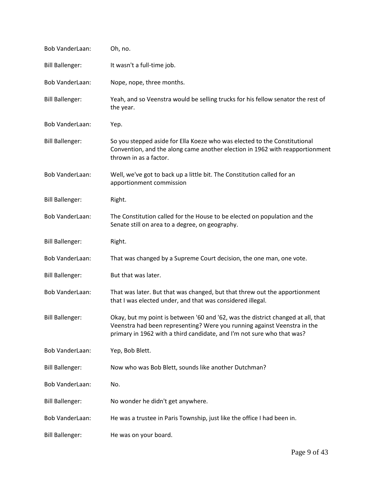| Bob VanderLaan:        | Oh, no.                                                                                                                                                                                                                                |
|------------------------|----------------------------------------------------------------------------------------------------------------------------------------------------------------------------------------------------------------------------------------|
| <b>Bill Ballenger:</b> | It wasn't a full-time job.                                                                                                                                                                                                             |
| <b>Bob VanderLaan:</b> | Nope, nope, three months.                                                                                                                                                                                                              |
| <b>Bill Ballenger:</b> | Yeah, and so Veenstra would be selling trucks for his fellow senator the rest of<br>the year.                                                                                                                                          |
| Bob VanderLaan:        | Yep.                                                                                                                                                                                                                                   |
| <b>Bill Ballenger:</b> | So you stepped aside for Ella Koeze who was elected to the Constitutional<br>Convention, and the along came another election in 1962 with reapportionment<br>thrown in as a factor.                                                    |
| Bob VanderLaan:        | Well, we've got to back up a little bit. The Constitution called for an<br>apportionment commission                                                                                                                                    |
| <b>Bill Ballenger:</b> | Right.                                                                                                                                                                                                                                 |
| Bob VanderLaan:        | The Constitution called for the House to be elected on population and the<br>Senate still on area to a degree, on geography.                                                                                                           |
| <b>Bill Ballenger:</b> | Right.                                                                                                                                                                                                                                 |
| Bob VanderLaan:        | That was changed by a Supreme Court decision, the one man, one vote.                                                                                                                                                                   |
| <b>Bill Ballenger:</b> | But that was later.                                                                                                                                                                                                                    |
| Bob VanderLaan:        | That was later. But that was changed, but that threw out the apportionment<br>that I was elected under, and that was considered illegal.                                                                                               |
| <b>Bill Ballenger:</b> | Okay, but my point is between '60 and '62, was the district changed at all, that<br>Veenstra had been representing? Were you running against Veenstra in the<br>primary in 1962 with a third candidate, and I'm not sure who that was? |
| <b>Bob VanderLaan:</b> | Yep, Bob Blett.                                                                                                                                                                                                                        |
| <b>Bill Ballenger:</b> | Now who was Bob Blett, sounds like another Dutchman?                                                                                                                                                                                   |
| <b>Bob VanderLaan:</b> | No.                                                                                                                                                                                                                                    |
| <b>Bill Ballenger:</b> | No wonder he didn't get anywhere.                                                                                                                                                                                                      |
| <b>Bob VanderLaan:</b> | He was a trustee in Paris Township, just like the office I had been in.                                                                                                                                                                |
| <b>Bill Ballenger:</b> | He was on your board.                                                                                                                                                                                                                  |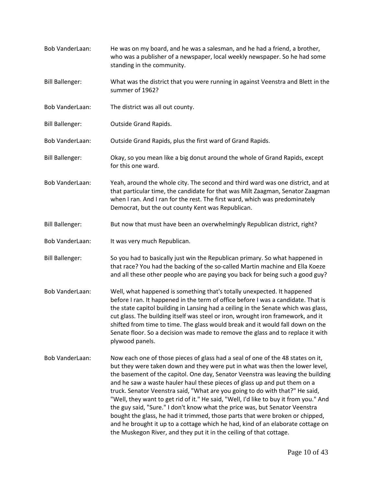[Bob VanderLaan:](https://www.rev.com/transcript-editor/Edit?token=AEgvks6oUqTFEPbEputoApzWDbxEt1vplnltU_6pN9UckK8q9_twOmILC0cCQhWo5AoJNRzHEE329BOVhUTPJhLqCsQ&loadFrom=DocumentSpeakerNameDeeplink&ts=820.44) He was on my board, and he was a salesman, and he had a friend, a brother, who was a publisher of a newspaper, local weekly newspaper. So he had some standing in the community. [Bill Ballenger:](https://www.rev.com/transcript-editor/Edit?token=b67gCG3fg0bCPJer463SFpu8-vIKnTbHZR6xixLfA3F8LAv7oAeSGabAGSuR_0ESpY-JRQ8g4MqK43S7QYeAyiKbVak&loadFrom=DocumentSpeakerNameDeeplink&ts=834.65) What was the district that you were running in against Veenstra and Blett in the summer of 1962? [Bob VanderLaan:](https://www.rev.com/transcript-editor/Edit?token=kfFbReIOgtQs2ixpGwH_3T61eicwcwkE_6H1_WBzJhWRbX_Jh5Rr9KndId3klhfxu6fzzDfMgCLKSmYWSsReuFviPv8&loadFrom=DocumentSpeakerNameDeeplink&ts=840.93) The district was all out county. [Bill Ballenger:](https://www.rev.com/transcript-editor/Edit?token=8yTq3MLAlwmhr-BtJI73P_VkGznPIMpqBhXMAgJ4bW6T9Mfn9qev7ppISdRHWPnqStCjOSIdWxxN2YF255UOaJIO1lQ&loadFrom=DocumentSpeakerNameDeeplink&ts=844.55) Outside Grand Rapids. [Bob VanderLaan:](https://www.rev.com/transcript-editor/Edit?token=sshHbZZRFjUSeCWtApOlflB8w3dqMlQFtfvkQUhhaEdVlCsUIezLTn6_E6CHQNnoT61r8K7V_xhSpKojax_zinqy-8I&loadFrom=DocumentSpeakerNameDeeplink&ts=845.63) Outside Grand Rapids, plus the first ward of Grand Rapids. [Bill Ballenger:](https://www.rev.com/transcript-editor/Edit?token=MbBzocgeeLYx20xYBh8kr3tKrYDL-LFXFRYGh8b8IsDEcPsSG0FPpVLC3WUl5FfCL8zdzzueUd7w_qmfeQIrkmimqH8&loadFrom=DocumentSpeakerNameDeeplink&ts=852.04) Okay, so you mean like a big donut around the whole of Grand Rapids, except for this one ward. [Bob VanderLaan:](https://www.rev.com/transcript-editor/Edit?token=Oe8qkw7a0vYo6khOythubgVax9BhzSr944HpQdWe18oTwCHVzh0m6qCXhIkEGClKZXXGjH5KwCdSG0WrBYctS3p-6nM&loadFrom=DocumentSpeakerNameDeeplink&ts=857.6) Yeah, around the whole city. The second and third ward was one district, and at that particular time, the candidate for that was Milt Zaagman, Senator Zaagman when I ran. And I ran for the rest. The first ward, which was predominately Democrat, but the out county Kent was Republican. [Bill Ballenger:](https://www.rev.com/transcript-editor/Edit?token=AENC9G1vaadpeP-gnuZmE6oNQLtNM_Das2qQKnCm3DPh0i72lg7qiA1smIeUUkvLKlWcbKOTO6qj1b3ahrBaE7TraGI&loadFrom=DocumentSpeakerNameDeeplink&ts=875.82) But now that must have been an overwhelmingly Republican district, right? [Bob VanderLaan:](https://www.rev.com/transcript-editor/Edit?token=HLTQs7G0CC49Yc51kjzbMSp4Nt1GGQf_Az8sF_KGmee7KknPutc4utKPqDVnMpW4RBoaxNlC8KAK_C5cubXRIbF4gHM&loadFrom=DocumentSpeakerNameDeeplink&ts=879.41) It was very much Republican. [Bill Ballenger:](https://www.rev.com/transcript-editor/Edit?token=xTHr8lX5n1MpqlbD5wJoSn0qd2RA1UwSXljzdPEo6vVEesEesZpfb52SNj59kUs5p3OUKGkYf43cxAcPfSe0X6r0BKg&loadFrom=DocumentSpeakerNameDeeplink&ts=880.29) So you had to basically just win the Republican primary. So what happened in that race? You had the backing of the so-called Martin machine and Ella Koeze and all these other people who are paying you back for being such a good guy? [Bob VanderLaan:](https://www.rev.com/transcript-editor/Edit?token=SF022iY64JHNfT3S_bQDmTLiOagsyHs1EeRQRG6kmYhTe2LDHRCNI0-vJVNOxPPV_utAKmbkLxMjzlGicWbbatpc-qo&loadFrom=DocumentSpeakerNameDeeplink&ts=893.7) Well, what happened is something that's totally unexpected. It happened before I ran. It happened in the term of office before I was a candidate. That is the state capitol building in Lansing had a ceiling in the Senate which was glass, cut glass. The building itself was steel or iron, wrought iron framework, and it shifted from time to time. The glass would break and it would fall down on the Senate floor. So a decision was made to remove the glass and to replace it with plywood panels. [Bob VanderLaan:](https://www.rev.com/transcript-editor/Edit?token=2GFH6FyK8w-CrGqESqvZ8jCXFIsXete-RoOgsVFPFSJn-FxGdc4xMWXvFE1-t8dBdO8y2pWVO7ZqrpGirCDTBfJo-SA&loadFrom=DocumentSpeakerNameDeeplink&ts=938.06) Now each one of those pieces of glass had a seal of one of the 48 states on it, but they were taken down and they were put in what was then the lower level, the basement of the capitol. One day, Senator Veenstra was leaving the building and he saw a waste hauler haul these pieces of glass up and put them on a truck. Senator Veenstra said, "What are you going to do with that?" He said, "Well, they want to get rid of it." He said, "Well, I'd like to buy it from you." And the guy said, "Sure." I don't know what the price was, but Senator Veenstra bought the glass, he had it trimmed, those parts that were broken or chipped, and he brought it up to a cottage which he had, kind of an elaborate cottage on the Muskegon River, and they put it in the ceiling of that cottage.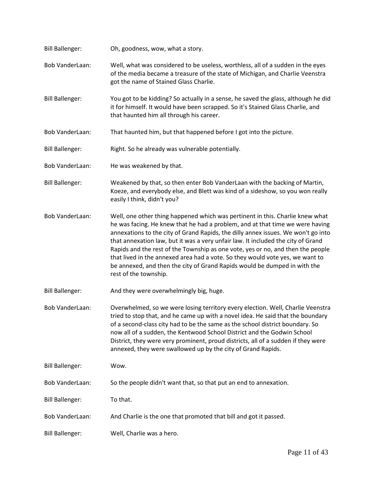| <b>Bill Ballenger:</b> | Oh, goodness, wow, what a story.                                                                                                                                                                                                                                                                                                                                                                                                                                                                                                                                                                                  |
|------------------------|-------------------------------------------------------------------------------------------------------------------------------------------------------------------------------------------------------------------------------------------------------------------------------------------------------------------------------------------------------------------------------------------------------------------------------------------------------------------------------------------------------------------------------------------------------------------------------------------------------------------|
| Bob VanderLaan:        | Well, what was considered to be useless, worthless, all of a sudden in the eyes<br>of the media became a treasure of the state of Michigan, and Charlie Veenstra<br>got the name of Stained Glass Charlie.                                                                                                                                                                                                                                                                                                                                                                                                        |
| <b>Bill Ballenger:</b> | You got to be kidding? So actually in a sense, he saved the glass, although he did<br>it for himself. It would have been scrapped. So it's Stained Glass Charlie, and<br>that haunted him all through his career.                                                                                                                                                                                                                                                                                                                                                                                                 |
| <b>Bob VanderLaan:</b> | That haunted him, but that happened before I got into the picture.                                                                                                                                                                                                                                                                                                                                                                                                                                                                                                                                                |
| <b>Bill Ballenger:</b> | Right. So he already was vulnerable potentially.                                                                                                                                                                                                                                                                                                                                                                                                                                                                                                                                                                  |
| Bob VanderLaan:        | He was weakened by that.                                                                                                                                                                                                                                                                                                                                                                                                                                                                                                                                                                                          |
| <b>Bill Ballenger:</b> | Weakened by that, so then enter Bob VanderLaan with the backing of Martin,<br>Koeze, and everybody else, and Blett was kind of a sideshow, so you won really<br>easily I think, didn't you?                                                                                                                                                                                                                                                                                                                                                                                                                       |
| <b>Bob VanderLaan:</b> | Well, one other thing happened which was pertinent in this. Charlie knew what<br>he was facing. He knew that he had a problem, and at that time we were having<br>annexations to the city of Grand Rapids, the dilly annex issues. We won't go into<br>that annexation law, but it was a very unfair law. It included the city of Grand<br>Rapids and the rest of the Township as one vote, yes or no, and then the people<br>that lived in the annexed area had a vote. So they would vote yes, we want to<br>be annexed, and then the city of Grand Rapids would be dumped in with the<br>rest of the township. |
| <b>Bill Ballenger:</b> | And they were overwhelmingly big, huge.                                                                                                                                                                                                                                                                                                                                                                                                                                                                                                                                                                           |
| Bob VanderLaan:        | Overwhelmed, so we were losing territory every election. Well, Charlie Veenstra<br>tried to stop that, and he came up with a novel idea. He said that the boundary<br>of a second-class city had to be the same as the school district boundary. So<br>now all of a sudden, the Kentwood School District and the Godwin School<br>District, they were very prominent, proud districts, all of a sudden if they were<br>annexed, they were swallowed up by the city of Grand Rapids.                                                                                                                               |
| <b>Bill Ballenger:</b> | Wow.                                                                                                                                                                                                                                                                                                                                                                                                                                                                                                                                                                                                              |
| <b>Bob VanderLaan:</b> | So the people didn't want that, so that put an end to annexation.                                                                                                                                                                                                                                                                                                                                                                                                                                                                                                                                                 |
| <b>Bill Ballenger:</b> | To that.                                                                                                                                                                                                                                                                                                                                                                                                                                                                                                                                                                                                          |
| Bob VanderLaan:        | And Charlie is the one that promoted that bill and got it passed.                                                                                                                                                                                                                                                                                                                                                                                                                                                                                                                                                 |
| <b>Bill Ballenger:</b> | Well, Charlie was a hero.                                                                                                                                                                                                                                                                                                                                                                                                                                                                                                                                                                                         |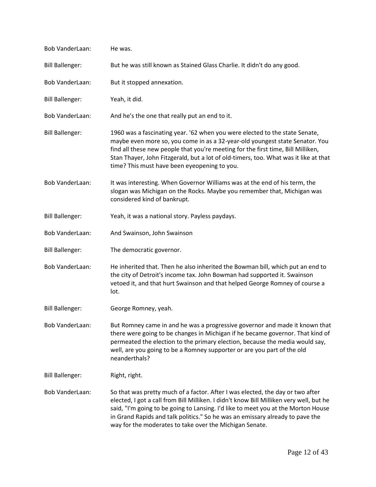| Bob VanderLaan:        | He was.                                                                                                                                                                                                                                                                                                                                                                                                    |
|------------------------|------------------------------------------------------------------------------------------------------------------------------------------------------------------------------------------------------------------------------------------------------------------------------------------------------------------------------------------------------------------------------------------------------------|
| <b>Bill Ballenger:</b> | But he was still known as Stained Glass Charlie. It didn't do any good.                                                                                                                                                                                                                                                                                                                                    |
| <b>Bob VanderLaan:</b> | But it stopped annexation.                                                                                                                                                                                                                                                                                                                                                                                 |
| <b>Bill Ballenger:</b> | Yeah, it did.                                                                                                                                                                                                                                                                                                                                                                                              |
| Bob VanderLaan:        | And he's the one that really put an end to it.                                                                                                                                                                                                                                                                                                                                                             |
| <b>Bill Ballenger:</b> | 1960 was a fascinating year. '62 when you were elected to the state Senate,<br>maybe even more so, you come in as a 32-year-old youngest state Senator. You<br>find all these new people that you're meeting for the first time, Bill Milliken,<br>Stan Thayer, John Fitzgerald, but a lot of old-timers, too. What was it like at that<br>time? This must have been eyeopening to you.                    |
| <b>Bob VanderLaan:</b> | It was interesting. When Governor Williams was at the end of his term, the<br>slogan was Michigan on the Rocks. Maybe you remember that, Michigan was<br>considered kind of bankrupt.                                                                                                                                                                                                                      |
| <b>Bill Ballenger:</b> | Yeah, it was a national story. Payless paydays.                                                                                                                                                                                                                                                                                                                                                            |
| <b>Bob VanderLaan:</b> | And Swainson, John Swainson                                                                                                                                                                                                                                                                                                                                                                                |
| <b>Bill Ballenger:</b> | The democratic governor.                                                                                                                                                                                                                                                                                                                                                                                   |
| <b>Bob VanderLaan:</b> | He inherited that. Then he also inherited the Bowman bill, which put an end to<br>the city of Detroit's income tax. John Bowman had supported it. Swainson<br>vetoed it, and that hurt Swainson and that helped George Romney of course a<br>lot.                                                                                                                                                          |
| <b>Bill Ballenger:</b> | George Romney, yeah.                                                                                                                                                                                                                                                                                                                                                                                       |
| Bob VanderLaan:        | But Romney came in and he was a progressive governor and made it known that<br>there were going to be changes in Michigan if he became governor. That kind of<br>permeated the election to the primary election, because the media would say,<br>well, are you going to be a Romney supporter or are you part of the old<br>neanderthals?                                                                  |
| <b>Bill Ballenger:</b> | Right, right.                                                                                                                                                                                                                                                                                                                                                                                              |
| Bob VanderLaan:        | So that was pretty much of a factor. After I was elected, the day or two after<br>elected, I got a call from Bill Milliken. I didn't know Bill Milliken very well, but he<br>said, "I'm going to be going to Lansing. I'd like to meet you at the Morton House<br>in Grand Rapids and talk politics." So he was an emissary already to pave the<br>way for the moderates to take over the Michigan Senate. |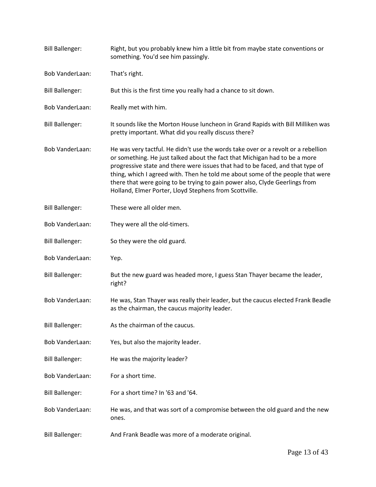| <b>Bill Ballenger:</b> | Right, but you probably knew him a little bit from maybe state conventions or<br>something. You'd see him passingly.                                                                                                                                                                                                                                                                                                                                                         |
|------------------------|------------------------------------------------------------------------------------------------------------------------------------------------------------------------------------------------------------------------------------------------------------------------------------------------------------------------------------------------------------------------------------------------------------------------------------------------------------------------------|
| <b>Bob VanderLaan:</b> | That's right.                                                                                                                                                                                                                                                                                                                                                                                                                                                                |
| <b>Bill Ballenger:</b> | But this is the first time you really had a chance to sit down.                                                                                                                                                                                                                                                                                                                                                                                                              |
| <b>Bob VanderLaan:</b> | Really met with him.                                                                                                                                                                                                                                                                                                                                                                                                                                                         |
| <b>Bill Ballenger:</b> | It sounds like the Morton House luncheon in Grand Rapids with Bill Milliken was<br>pretty important. What did you really discuss there?                                                                                                                                                                                                                                                                                                                                      |
| <b>Bob VanderLaan:</b> | He was very tactful. He didn't use the words take over or a revolt or a rebellion<br>or something. He just talked about the fact that Michigan had to be a more<br>progressive state and there were issues that had to be faced, and that type of<br>thing, which I agreed with. Then he told me about some of the people that were<br>there that were going to be trying to gain power also, Clyde Geerlings from<br>Holland, Elmer Porter, Lloyd Stephens from Scottville. |
| <b>Bill Ballenger:</b> | These were all older men.                                                                                                                                                                                                                                                                                                                                                                                                                                                    |
| <b>Bob VanderLaan:</b> | They were all the old-timers.                                                                                                                                                                                                                                                                                                                                                                                                                                                |
| <b>Bill Ballenger:</b> | So they were the old guard.                                                                                                                                                                                                                                                                                                                                                                                                                                                  |
| Bob VanderLaan:        | Yep.                                                                                                                                                                                                                                                                                                                                                                                                                                                                         |
| <b>Bill Ballenger:</b> | But the new guard was headed more, I guess Stan Thayer became the leader,<br>right?                                                                                                                                                                                                                                                                                                                                                                                          |
| Bob VanderLaan:        | He was, Stan Thayer was really their leader, but the caucus elected Frank Beadle<br>as the chairman, the caucus majority leader.                                                                                                                                                                                                                                                                                                                                             |
| <b>Bill Ballenger:</b> | As the chairman of the caucus.                                                                                                                                                                                                                                                                                                                                                                                                                                               |
| Bob VanderLaan:        | Yes, but also the majority leader.                                                                                                                                                                                                                                                                                                                                                                                                                                           |
| <b>Bill Ballenger:</b> | He was the majority leader?                                                                                                                                                                                                                                                                                                                                                                                                                                                  |
| Bob VanderLaan:        | For a short time.                                                                                                                                                                                                                                                                                                                                                                                                                                                            |
| <b>Bill Ballenger:</b> | For a short time? In '63 and '64.                                                                                                                                                                                                                                                                                                                                                                                                                                            |
| Bob VanderLaan:        | He was, and that was sort of a compromise between the old guard and the new<br>ones.                                                                                                                                                                                                                                                                                                                                                                                         |
| <b>Bill Ballenger:</b> | And Frank Beadle was more of a moderate original.                                                                                                                                                                                                                                                                                                                                                                                                                            |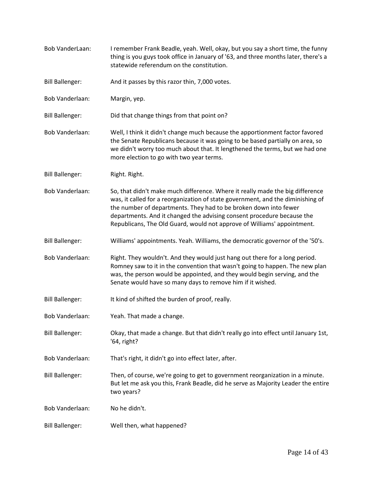| Bob VanderLaan:        | I remember Frank Beadle, yeah. Well, okay, but you say a short time, the funny<br>thing is you guys took office in January of '63, and three months later, there's a<br>statewide referendum on the constitution.                                                                                                                                                                         |
|------------------------|-------------------------------------------------------------------------------------------------------------------------------------------------------------------------------------------------------------------------------------------------------------------------------------------------------------------------------------------------------------------------------------------|
| <b>Bill Ballenger:</b> | And it passes by this razor thin, 7,000 votes.                                                                                                                                                                                                                                                                                                                                            |
| Bob Vanderlaan:        | Margin, yep.                                                                                                                                                                                                                                                                                                                                                                              |
| <b>Bill Ballenger:</b> | Did that change things from that point on?                                                                                                                                                                                                                                                                                                                                                |
| <b>Bob Vanderlaan:</b> | Well, I think it didn't change much because the apportionment factor favored<br>the Senate Republicans because it was going to be based partially on area, so<br>we didn't worry too much about that. It lengthened the terms, but we had one<br>more election to go with two year terms.                                                                                                 |
| <b>Bill Ballenger:</b> | Right. Right.                                                                                                                                                                                                                                                                                                                                                                             |
| <b>Bob Vanderlaan:</b> | So, that didn't make much difference. Where it really made the big difference<br>was, it called for a reorganization of state government, and the diminishing of<br>the number of departments. They had to be broken down into fewer<br>departments. And it changed the advising consent procedure because the<br>Republicans, The Old Guard, would not approve of Williams' appointment. |
| <b>Bill Ballenger:</b> | Williams' appointments. Yeah. Williams, the democratic governor of the '50's.                                                                                                                                                                                                                                                                                                             |
| <b>Bob Vanderlaan:</b> | Right. They wouldn't. And they would just hang out there for a long period.<br>Romney saw to it in the convention that wasn't going to happen. The new plan<br>was, the person would be appointed, and they would begin serving, and the<br>Senate would have so many days to remove him if it wished.                                                                                    |
| <b>Bill Ballenger:</b> | It kind of shifted the burden of proof, really.                                                                                                                                                                                                                                                                                                                                           |
| Bob Vanderlaan:        | Yeah. That made a change.                                                                                                                                                                                                                                                                                                                                                                 |
| <b>Bill Ballenger:</b> | Okay, that made a change. But that didn't really go into effect until January 1st,<br>'64, right?                                                                                                                                                                                                                                                                                         |
| Bob Vanderlaan:        | That's right, it didn't go into effect later, after.                                                                                                                                                                                                                                                                                                                                      |
| <b>Bill Ballenger:</b> | Then, of course, we're going to get to government reorganization in a minute.<br>But let me ask you this, Frank Beadle, did he serve as Majority Leader the entire<br>two years?                                                                                                                                                                                                          |
| <b>Bob Vanderlaan:</b> | No he didn't.                                                                                                                                                                                                                                                                                                                                                                             |
| <b>Bill Ballenger:</b> | Well then, what happened?                                                                                                                                                                                                                                                                                                                                                                 |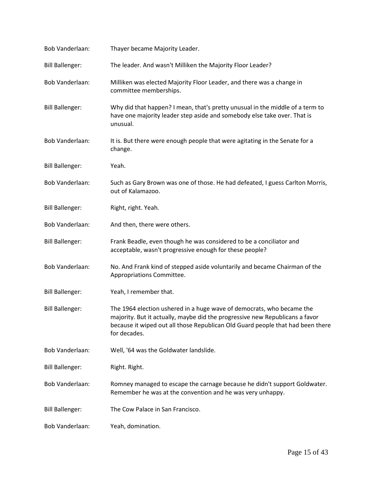| Bob Vanderlaan:        | Thayer became Majority Leader.                                                                                                                                                                                                                          |
|------------------------|---------------------------------------------------------------------------------------------------------------------------------------------------------------------------------------------------------------------------------------------------------|
| <b>Bill Ballenger:</b> | The leader. And wasn't Milliken the Majority Floor Leader?                                                                                                                                                                                              |
| <b>Bob Vanderlaan:</b> | Milliken was elected Majority Floor Leader, and there was a change in<br>committee memberships.                                                                                                                                                         |
| <b>Bill Ballenger:</b> | Why did that happen? I mean, that's pretty unusual in the middle of a term to<br>have one majority leader step aside and somebody else take over. That is<br>unusual.                                                                                   |
| <b>Bob Vanderlaan:</b> | It is. But there were enough people that were agitating in the Senate for a<br>change.                                                                                                                                                                  |
| <b>Bill Ballenger:</b> | Yeah.                                                                                                                                                                                                                                                   |
| <b>Bob Vanderlaan:</b> | Such as Gary Brown was one of those. He had defeated, I guess Carlton Morris,<br>out of Kalamazoo.                                                                                                                                                      |
| <b>Bill Ballenger:</b> | Right, right. Yeah.                                                                                                                                                                                                                                     |
| Bob Vanderlaan:        | And then, there were others.                                                                                                                                                                                                                            |
| <b>Bill Ballenger:</b> | Frank Beadle, even though he was considered to be a conciliator and<br>acceptable, wasn't progressive enough for these people?                                                                                                                          |
| Bob Vanderlaan:        | No. And Frank kind of stepped aside voluntarily and became Chairman of the<br>Appropriations Committee.                                                                                                                                                 |
| <b>Bill Ballenger:</b> | Yeah, I remember that.                                                                                                                                                                                                                                  |
| <b>Bill Ballenger:</b> | The 1964 election ushered in a huge wave of democrats, who became the<br>majority. But it actually, maybe did the progressive new Republicans a favor<br>because it wiped out all those Republican Old Guard people that had been there<br>for decades. |
| <b>Bob Vanderlaan:</b> | Well, '64 was the Goldwater landslide.                                                                                                                                                                                                                  |
| <b>Bill Ballenger:</b> | Right. Right.                                                                                                                                                                                                                                           |
| Bob Vanderlaan:        | Romney managed to escape the carnage because he didn't support Goldwater.<br>Remember he was at the convention and he was very unhappy.                                                                                                                 |
| <b>Bill Ballenger:</b> | The Cow Palace in San Francisco.                                                                                                                                                                                                                        |
| <b>Bob Vanderlaan:</b> | Yeah, domination.                                                                                                                                                                                                                                       |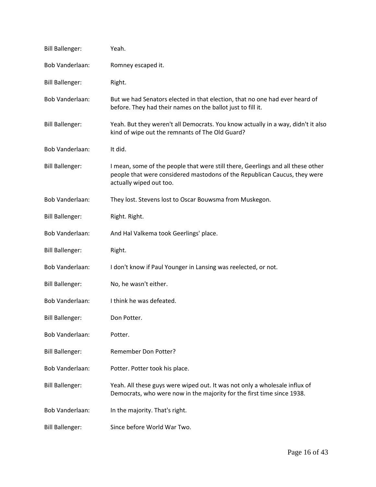| <b>Bill Ballenger:</b> | Yeah.                                                                                                                                                                                   |
|------------------------|-----------------------------------------------------------------------------------------------------------------------------------------------------------------------------------------|
| Bob Vanderlaan:        | Romney escaped it.                                                                                                                                                                      |
| <b>Bill Ballenger:</b> | Right.                                                                                                                                                                                  |
| Bob Vanderlaan:        | But we had Senators elected in that election, that no one had ever heard of<br>before. They had their names on the ballot just to fill it.                                              |
| <b>Bill Ballenger:</b> | Yeah. But they weren't all Democrats. You know actually in a way, didn't it also<br>kind of wipe out the remnants of The Old Guard?                                                     |
| Bob Vanderlaan:        | It did.                                                                                                                                                                                 |
| <b>Bill Ballenger:</b> | I mean, some of the people that were still there, Geerlings and all these other<br>people that were considered mastodons of the Republican Caucus, they were<br>actually wiped out too. |
| <b>Bob Vanderlaan:</b> | They lost. Stevens lost to Oscar Bouwsma from Muskegon.                                                                                                                                 |
| <b>Bill Ballenger:</b> | Right. Right.                                                                                                                                                                           |
| Bob Vanderlaan:        | And Hal Valkema took Geerlings' place.                                                                                                                                                  |
| <b>Bill Ballenger:</b> | Right.                                                                                                                                                                                  |
| Bob Vanderlaan:        | I don't know if Paul Younger in Lansing was reelected, or not.                                                                                                                          |
| <b>Bill Ballenger:</b> | No, he wasn't either.                                                                                                                                                                   |
| <b>Bob Vanderlaan:</b> | I think he was defeated.                                                                                                                                                                |
| <b>Bill Ballenger:</b> | Don Potter.                                                                                                                                                                             |
| <b>Bob Vanderlaan:</b> | Potter.                                                                                                                                                                                 |
| <b>Bill Ballenger:</b> | <b>Remember Don Potter?</b>                                                                                                                                                             |
| <b>Bob Vanderlaan:</b> | Potter. Potter took his place.                                                                                                                                                          |
| <b>Bill Ballenger:</b> | Yeah. All these guys were wiped out. It was not only a wholesale influx of<br>Democrats, who were now in the majority for the first time since 1938.                                    |
| <b>Bob Vanderlaan:</b> | In the majority. That's right.                                                                                                                                                          |
| <b>Bill Ballenger:</b> | Since before World War Two.                                                                                                                                                             |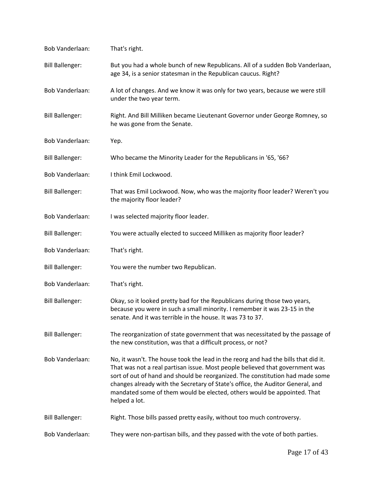| Bob Vanderlaan:        | That's right.                                                                                                                                                                                                                                                                                                                                                                                                                     |
|------------------------|-----------------------------------------------------------------------------------------------------------------------------------------------------------------------------------------------------------------------------------------------------------------------------------------------------------------------------------------------------------------------------------------------------------------------------------|
| <b>Bill Ballenger:</b> | But you had a whole bunch of new Republicans. All of a sudden Bob Vanderlaan,<br>age 34, is a senior statesman in the Republican caucus. Right?                                                                                                                                                                                                                                                                                   |
| Bob Vanderlaan:        | A lot of changes. And we know it was only for two years, because we were still<br>under the two year term.                                                                                                                                                                                                                                                                                                                        |
| <b>Bill Ballenger:</b> | Right. And Bill Milliken became Lieutenant Governor under George Romney, so<br>he was gone from the Senate.                                                                                                                                                                                                                                                                                                                       |
| Bob Vanderlaan:        | Yep.                                                                                                                                                                                                                                                                                                                                                                                                                              |
| <b>Bill Ballenger:</b> | Who became the Minority Leader for the Republicans in '65, '66?                                                                                                                                                                                                                                                                                                                                                                   |
| Bob Vanderlaan:        | I think Emil Lockwood.                                                                                                                                                                                                                                                                                                                                                                                                            |
| <b>Bill Ballenger:</b> | That was Emil Lockwood. Now, who was the majority floor leader? Weren't you<br>the majority floor leader?                                                                                                                                                                                                                                                                                                                         |
| Bob Vanderlaan:        | I was selected majority floor leader.                                                                                                                                                                                                                                                                                                                                                                                             |
| <b>Bill Ballenger:</b> | You were actually elected to succeed Milliken as majority floor leader?                                                                                                                                                                                                                                                                                                                                                           |
| Bob Vanderlaan:        | That's right.                                                                                                                                                                                                                                                                                                                                                                                                                     |
| <b>Bill Ballenger:</b> | You were the number two Republican.                                                                                                                                                                                                                                                                                                                                                                                               |
| Bob Vanderlaan:        | That's right.                                                                                                                                                                                                                                                                                                                                                                                                                     |
| <b>Bill Ballenger:</b> | Okay, so it looked pretty bad for the Republicans during those two years,<br>because you were in such a small minority. I remember it was 23-15 in the<br>senate. And it was terrible in the house. It was 73 to 37.                                                                                                                                                                                                              |
| <b>Bill Ballenger:</b> | The reorganization of state government that was necessitated by the passage of<br>the new constitution, was that a difficult process, or not?                                                                                                                                                                                                                                                                                     |
| Bob Vanderlaan:        | No, it wasn't. The house took the lead in the reorg and had the bills that did it.<br>That was not a real partisan issue. Most people believed that government was<br>sort of out of hand and should be reorganized. The constitution had made some<br>changes already with the Secretary of State's office, the Auditor General, and<br>mandated some of them would be elected, others would be appointed. That<br>helped a lot. |
| <b>Bill Ballenger:</b> | Right. Those bills passed pretty easily, without too much controversy.                                                                                                                                                                                                                                                                                                                                                            |
| Bob Vanderlaan:        | They were non-partisan bills, and they passed with the vote of both parties.                                                                                                                                                                                                                                                                                                                                                      |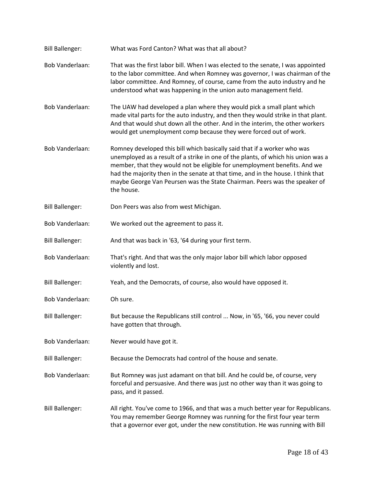| <b>Bill Ballenger:</b> | What was Ford Canton? What was that all about?                                                                                                                                                                                                                                                                                                                                                                            |
|------------------------|---------------------------------------------------------------------------------------------------------------------------------------------------------------------------------------------------------------------------------------------------------------------------------------------------------------------------------------------------------------------------------------------------------------------------|
| <b>Bob Vanderlaan:</b> | That was the first labor bill. When I was elected to the senate, I was appointed<br>to the labor committee. And when Romney was governor, I was chairman of the<br>labor committee. And Romney, of course, came from the auto industry and he<br>understood what was happening in the union auto management field.                                                                                                        |
| <b>Bob Vanderlaan:</b> | The UAW had developed a plan where they would pick a small plant which<br>made vital parts for the auto industry, and then they would strike in that plant.<br>And that would shut down all the other. And in the interim, the other workers<br>would get unemployment comp because they were forced out of work.                                                                                                         |
| <b>Bob Vanderlaan:</b> | Romney developed this bill which basically said that if a worker who was<br>unemployed as a result of a strike in one of the plants, of which his union was a<br>member, that they would not be eligible for unemployment benefits. And we<br>had the majority then in the senate at that time, and in the house. I think that<br>maybe George Van Peursen was the State Chairman. Peers was the speaker of<br>the house. |
| <b>Bill Ballenger:</b> | Don Peers was also from west Michigan.                                                                                                                                                                                                                                                                                                                                                                                    |
| Bob Vanderlaan:        | We worked out the agreement to pass it.                                                                                                                                                                                                                                                                                                                                                                                   |
| <b>Bill Ballenger:</b> | And that was back in '63, '64 during your first term.                                                                                                                                                                                                                                                                                                                                                                     |
| <b>Bob Vanderlaan:</b> | That's right. And that was the only major labor bill which labor opposed<br>violently and lost.                                                                                                                                                                                                                                                                                                                           |
| <b>Bill Ballenger:</b> | Yeah, and the Democrats, of course, also would have opposed it.                                                                                                                                                                                                                                                                                                                                                           |
| <b>Bob Vanderlaan:</b> | Oh sure.                                                                                                                                                                                                                                                                                                                                                                                                                  |
| <b>Bill Ballenger:</b> | But because the Republicans still control  Now, in '65, '66, you never could<br>have gotten that through.                                                                                                                                                                                                                                                                                                                 |
| <b>Bob Vanderlaan:</b> | Never would have got it.                                                                                                                                                                                                                                                                                                                                                                                                  |
| <b>Bill Ballenger:</b> | Because the Democrats had control of the house and senate.                                                                                                                                                                                                                                                                                                                                                                |
| <b>Bob Vanderlaan:</b> | But Romney was just adamant on that bill. And he could be, of course, very<br>forceful and persuasive. And there was just no other way than it was going to<br>pass, and it passed.                                                                                                                                                                                                                                       |
| <b>Bill Ballenger:</b> | All right. You've come to 1966, and that was a much better year for Republicans.<br>You may remember George Romney was running for the first four year term<br>that a governor ever got, under the new constitution. He was running with Bill                                                                                                                                                                             |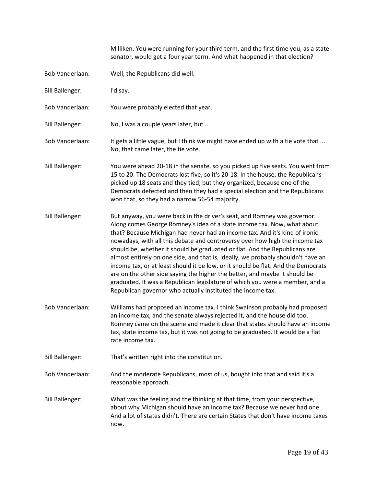Milliken. You were running for your third term, and the first time you, as a state senator, would get a four year term. And what happened in that election?

[Bob Vanderlaan:](https://www.rev.com/transcript-editor/Edit?token=Q9COeOqcF505h1VMCmBAvGQMJCN9Vbk8IMiHOtNTpiRbkEFJfft-w3bvmuWGNljg5EFUbHo--0cNMkkb0jGrcS-QcQg&loadFrom=DocumentSpeakerNameDeeplink&ts=512.56) Well, the Republicans did well.

[Bill Ballenger:](https://www.rev.com/transcript-editor/Edit?token=pB3dQB7eehQj-0wBUOviiF6AZnCzizGk0NN9Y8Cu4ds5FquJlAFfZDuZQmzNViZ15A9OUwiBvaxUk24sn14_D_oBUd4&loadFrom=DocumentSpeakerNameDeeplink&ts=516.21) I'd say.

- [Bob Vanderlaan:](https://www.rev.com/transcript-editor/Edit?token=jqgjadZWrqjw5uyedm-cSJBQYahiKUZ8q2l8muMDvKfgtSIcYFSLpQmQsSRMynQ_XYMqQ6u0JBU0Pke0ZhkJl1znYK8&loadFrom=DocumentSpeakerNameDeeplink&ts=517.76) You were probably elected that year.
- [Bill Ballenger:](https://www.rev.com/transcript-editor/Edit?token=-B2ENOmLs1NwSOQL8WPr6qDQLNclcHJ47M5wmt3Nb6R8K8zhBoARdKLnHw0PsWVgp6dTonk5lwjDpqAwjnIZeYq-1Ks&loadFrom=DocumentSpeakerNameDeeplink&ts=519.67) No, I was a couple years later, but ...
- [Bob Vanderlaan:](https://www.rev.com/transcript-editor/Edit?token=pJJL-Oth7q-_pjGzxnThEYQmKe1CGhd08t2Hqd4FiUyVVf7imBgxkYOU-ZvMcYyymVcBzXuAcEMtHGFNbI3-BuOdgB0&loadFrom=DocumentSpeakerNameDeeplink&ts=523.05) It gets a little vague, but I think we might have ended up with a tie vote that ... No, that came later, the tie vote.
- [Bill Ballenger:](https://www.rev.com/transcript-editor/Edit?token=icBMIExztrEEv02qLzG-6dSuJqhy0kMkkQIrmpdz7U_B2H7g6av5mrGmrNih0PGfzmZPAOGmMoEqGjVaQZzoVHMOz5A&loadFrom=DocumentSpeakerNameDeeplink&ts=530.34) You were ahead 20-18 in the senate, so you picked up five seats. You went from 15 to 20. The Democrats lost five, so it's 20-18. In the house, the Republicans picked up 18 seats and they tied, but they organized, because one of the Democrats defected and then they had a special election and the Republicans won that, so they had a narrow 56-54 majority.
- [Bill Ballenger:](https://www.rev.com/transcript-editor/Edit?token=T0W6cfybWjl53d4csAFUNkbeH-nGdUscWH4tpeJeK3CSQUaRz59ETj2CmeojURLCqkotZTyuOmxwHfuMAh0MlyMjKGc&loadFrom=DocumentSpeakerNameDeeplink&ts=556.83) But anyway, you were back in the driver's seat, and Romney was governor. Along comes George Romney's idea of a state income tax. Now, what about that? Because Michigan had never had an income tax. And it's kind of ironic nowadays, with all this debate and controversy over how high the income tax should be, whether it should be graduated or flat. And the Republicans are almost entirely on one side, and that is, ideally, we probably shouldn't have an income tax, or at least should it be low, or it should be flat. And the Democrats are on the other side saying the higher the better, and maybe it should be graduated. It was a Republican legislature of which you were a member, and a Republican governor who actually instituted the income tax.
- [Bob Vanderlaan:](https://www.rev.com/transcript-editor/Edit?token=xDMbSCSvb56YCBR3FFMZ5nf9ALkcaSuX-u9H-lHj-9aYO7MQqiDrDgYVko9njsid35lJi-7FBDJuYdRETC8ihK1ESuw&loadFrom=DocumentSpeakerNameDeeplink&ts=608.98) Williams had proposed an income tax. I think Swainson probably had proposed an income tax, and the senate always rejected it, and the house did too. Romney came on the scene and made it clear that states should have an income tax, state income tax, but it was not going to be graduated. It would be a flat rate income tax.
- [Bill Ballenger:](https://www.rev.com/transcript-editor/Edit?token=F4MWcTCMqjCUsHTXBUBjxjPPGX-S0LXita-kpPw1PYEnA-0souyfBxQBdKjao0LrzizHp_8rTcsY6-kobQnFwpokH4s&loadFrom=DocumentSpeakerNameDeeplink&ts=629.84) That's written right into the constitution.
- [Bob Vanderlaan:](https://www.rev.com/transcript-editor/Edit?token=C7JIuUlvYOA6XBmGYipVnaKHAvrgNENqp0-kr1uoWb-KrjjPkwV1eHdPGhmYEpcvUSLKFkSF1LM0xp2EuKCGjpHaWOQ&loadFrom=DocumentSpeakerNameDeeplink&ts=632.53) And the moderate Republicans, most of us, bought into that and said it's a reasonable approach.
- [Bill Ballenger:](https://www.rev.com/transcript-editor/Edit?token=QCUu20sAU7Me5OmJKkF5-vLu0StetTaUr3G5PHgbKq9rHyIJPUhY-FaANaiOJakFf0YfnCgF1B_lwkps8_00tZjYiNs&loadFrom=DocumentSpeakerNameDeeplink&ts=638.57) What was the feeling and the thinking at that time, from your perspective, about why Michigan should have an income tax? Because we never had one. And a lot of states didn't. There are certain States that don't have income taxes now.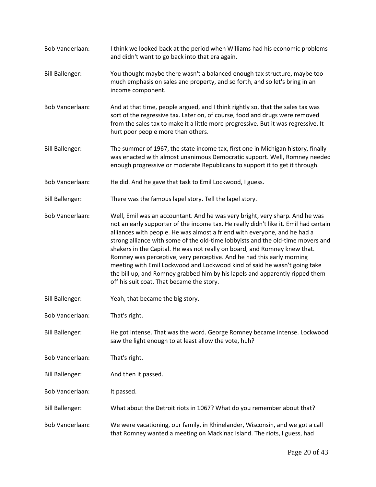[Bob Vanderlaan:](https://www.rev.com/transcript-editor/Edit?token=OF3DagYSvaTJ-FpSiHTGEyimlYf_jnX5POlmw9QR7L9BvSAiEfkyeqyWTqUcSc5Gjkx-fQ0zl35oKeYIo5wsZYT4mQg&loadFrom=DocumentSpeakerNameDeeplink&ts=655.47) I think we looked back at the period when Williams had his economic problems and didn't want to go back into that era again. [Bill Ballenger:](https://www.rev.com/transcript-editor/Edit?token=ezrI4vjeneLJ7Em7EVpEg-D_f8TIMdyUXyrWEuXXmCs69icZF_1WU9P3ma4R7Fxwebvt6deP9f8pJ2jn_T07M78i1dM&loadFrom=DocumentSpeakerNameDeeplink&ts=664.37) You thought maybe there wasn't a balanced enough tax structure, maybe too much emphasis on sales and property, and so forth, and so let's bring in an income component. [Bob Vanderlaan:](https://www.rev.com/transcript-editor/Edit?token=9Ju2dLYvPBJ16M7q-eLiRk7WFuYBbCgOKhNRTSBGZt-Q317jdm6LmOsixioRA0O-PSrkX7L9X6Xvn6_FKnPQiOxvT4U&loadFrom=DocumentSpeakerNameDeeplink&ts=675.74) And at that time, people argued, and I think rightly so, that the sales tax was sort of the regressive tax. Later on, of course, food and drugs were removed from the sales tax to make it a little more progressive. But it was regressive. It hurt poor people more than others. [Bill Ballenger:](https://www.rev.com/transcript-editor/Edit?token=dQwaH9LkYwJpDhvrX85RUzo9pak1Mnp3txFHcfd9guT7lKcQxvjEloGLe2h7ZXyfm2yJJteuq9OBYEdagwhHYz6fdqk&loadFrom=DocumentSpeakerNameDeeplink&ts=693.95) The summer of 1967, the state income tax, first one in Michigan history, finally was enacted with almost unanimous Democratic support. Well, Romney needed enough progressive or moderate Republicans to support it to get it through. [Bob Vanderlaan:](https://www.rev.com/transcript-editor/Edit?token=pcOShS6LNU4kH2jP453JVfNs_dsgXDFkJ5wreNaOpBrtOZrJMIPpBIF7S81mRKSj17lB3Dn_vWwiEZiVvh00cTo4Tpw&loadFrom=DocumentSpeakerNameDeeplink&ts=709.16) He did. And he gave that task to Emil Lockwood, I guess. [Bill Ballenger:](https://www.rev.com/transcript-editor/Edit?token=d2CUpsG7K-w3Q4BDYDawqha4xNopyNc53KcryCT2weUX6weaMHExEgfDm2lCV_y4SXFSo2G2bdQPIuSW1tWxQP_7kdA&loadFrom=DocumentSpeakerNameDeeplink&ts=714.42) There was the famous lapel story. Tell the lapel story. [Bob Vanderlaan:](https://www.rev.com/transcript-editor/Edit?token=GjvSAj8Q5as1IvEadpxbyC3kKLm4r9pU7f4OlikO2wYX_TZNtAZe0R9AHVEAUlA7QEg7jyzKdHb_xoD-_GJ2qm263ac&loadFrom=DocumentSpeakerNameDeeplink&ts=718.36) Well, Emil was an accountant. And he was very bright, very sharp. And he was not an early supporter of the income tax. He really didn't like it. Emil had certain alliances with people. He was almost a friend with everyone, and he had a strong alliance with some of the old-time lobbyists and the old-time movers and shakers in the Capital. He was not really on board, and Romney knew that. Romney was perceptive, very perceptive. And he had this early morning meeting with Emil Lockwood and Lockwood kind of said he wasn't going take the bill up, and Romney grabbed him by his lapels and apparently ripped them off his suit coat. That became the story. [Bill Ballenger:](https://www.rev.com/transcript-editor/Edit?token=JNNWVR6G5vWs7SWIfnl172kEYRqvyQpzqzkm85K6hZ5dz9HKTx9jcLHrKM4LUHPUhlqzFEhv61NvWDSCVbmqafox6ZQ&loadFrom=DocumentSpeakerNameDeeplink&ts=765.12) Yeah, that became the big story. [Bob Vanderlaan:](https://www.rev.com/transcript-editor/Edit?token=kzHI6tKKA8n1kqyhNzpgOpvtsaacVNLHStz7pYJcGtFQTlKQE6RshexXSFyFcQW_pSUdAEK8DgAxX3oAO5qyxLtQoAE&loadFrom=DocumentSpeakerNameDeeplink&ts=766.54) That's right. [Bill Ballenger:](https://www.rev.com/transcript-editor/Edit?token=l0iejEE5YJz6IpBcrUpADamtHhZF-H98inMySAeNVz12GFJXXa_Iety3r38YNp0-Tx86S8zRU2LN6tCdll78D6f9Bbw&loadFrom=DocumentSpeakerNameDeeplink&ts=767) He got intense. That was the word. George Romney became intense. Lockwood saw the light enough to at least allow the vote, huh? [Bob Vanderlaan:](https://www.rev.com/transcript-editor/Edit?token=HPVQGg2iFHI75EqYQlZFLt7jyJ5zU5w8vLuN-1w5_p9xfkQ69AL_avkKj1Sp7PioFyk2C5Pk7pxIdwsGQudz4t3tOjg&loadFrom=DocumentSpeakerNameDeeplink&ts=775.59) That's right. [Bill Ballenger:](https://www.rev.com/transcript-editor/Edit?token=WrYCoTFnykeyv4D3Fbr2YZWSvS2UuSKMHAwSrKT0g5bk9Oxk4pXQJ8DXNvW4vHjwZaRdkwtUKWlLSalmKBqlxPkQsHQ&loadFrom=DocumentSpeakerNameDeeplink&ts=776.23) And then it passed. [Bob Vanderlaan:](https://www.rev.com/transcript-editor/Edit?token=DYWwvWakryFY8nihQqOdRT3eTWxlsAoTvdohVB7tEHZMtF5R-MMycRNwyi0cYq3Ahmh4WFEWkqtnubcH9-7B1b4_uUA&loadFrom=DocumentSpeakerNameDeeplink&ts=776.36) It passed. [Bill Ballenger:](https://www.rev.com/transcript-editor/Edit?token=snU4Ukb_MTxA_lLsNpqMhEL4yTw1ONZUsUndi_iFVVPlEDDV9IRbXPqiG9yw6H8z8RSCtemzXWFFNL3ccu7y0wvzzaY&loadFrom=DocumentSpeakerNameDeeplink&ts=777.26) What about the Detroit riots in 1067? What do you remember about that? [Bob Vanderlaan:](https://www.rev.com/transcript-editor/Edit?token=i-_7LQZdZNdrQXL8Thzs5cbAXkJc5N6jnnwl__1A7L28paRqufC3IfitW46zq_ch64MwH82o7-Dk_nP8q6Eahva8u_o&loadFrom=DocumentSpeakerNameDeeplink&ts=782.28) We were vacationing, our family, in Rhinelander, Wisconsin, and we got a call that Romney wanted a meeting on Mackinac Island. The riots, I guess, had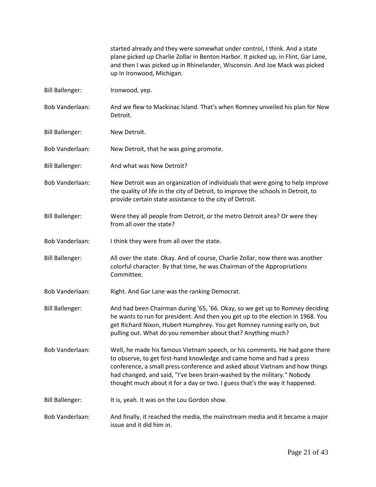started already and they were somewhat under control, I think. And a state plane picked up Charlie Zollar in Benton Harbor. It picked up, in Flint, Gar Lane, and then I was picked up in Rhinelander, Wisconsin. And Joe Mack was picked up In Ironwood, Michigan.

- [Bill Ballenger:](https://www.rev.com/transcript-editor/Edit?token=7eWv17U4A2BswE2ke6wfgwxanpdKi8TF4WsI3K5lEtBgUxtc1gmXPkSbe_uOWWbvIaPO88YRhauGPTU-vZPqiO4XCOE&loadFrom=DocumentSpeakerNameDeeplink&ts=813.62) Ironwood, yep.
- [Bob Vanderlaan:](https://www.rev.com/transcript-editor/Edit?token=VsRVCo_UgaKC66TPJxfc2FlMkn7eG4ByoXhfL4-kuvbd1NoyuMtavPPERfZvDQoJKeOn-E-WBqO2vRw4EFNikdR_t04&loadFrom=DocumentSpeakerNameDeeplink&ts=814.25) And we flew to Mackinac Island. That's when Romney unveiled his plan for New Detroit.
- [Bill Ballenger:](https://www.rev.com/transcript-editor/Edit?token=QRnKR5pbuvOn8e5qwZ4eU7IL8ar0L3O92G9t0AJLqO497wSKuW3tgPWUmA3-1SHz5OB7nlUaEUew1Orl7kJT6l60L7o&loadFrom=DocumentSpeakerNameDeeplink&ts=821.3) New Detroit.

[Bob Vanderlaan:](https://www.rev.com/transcript-editor/Edit?token=3SeREPIpf6pAhakXYg6Jt9xgcUVfJtGy0cgYXT4c17LOymkUfeK7EEnsbYN8lwgx5KLAFvXEGLAFbyAZpjJABKVAo9w&loadFrom=DocumentSpeakerNameDeeplink&ts=822.05) New Detroit, that he was going promote.

- [Bill Ballenger:](https://www.rev.com/transcript-editor/Edit?token=sqIxldWYa7gj_Bylnx95PlogTjdjv2UQZNINQxH9WMrDuea-K-w2rGC5zO24dGQA-lW14oV7WX2CbzIKdA8GVX8HAQY&loadFrom=DocumentSpeakerNameDeeplink&ts=823.61) And what was New Detroit?
- [Bob Vanderlaan:](https://www.rev.com/transcript-editor/Edit?token=V9H22BOCCkXFg2IVSiYWHY5U14zPeacXd4hDVRPj025FtX0YL8J40TKBNCsY3LdWHRk_5M8n221ZG1LvMebes0W6KSg&loadFrom=DocumentSpeakerNameDeeplink&ts=825.87) New Detroit was an organization of individuals that were going to help improve the quality of life in the city of Detroit, to improve the schools in Detroit, to provide certain state assistance to the city of Detroit.
- [Bill Ballenger:](https://www.rev.com/transcript-editor/Edit?token=Iajp2MBt5hunnXEEnUUZ0mKjdx-O3VblymErSelQibua3TVUC4zRUEAFyz5GNv_42dk259MyP7Y19qmNlGp67lvheHk&loadFrom=DocumentSpeakerNameDeeplink&ts=843.47) Were they all people from Detroit, or the metro Detroit area? Or were they from all over the state?
- [Bob Vanderlaan:](https://www.rev.com/transcript-editor/Edit?token=TERPehDNScvG9vcrRVGd81Eg3-bRc_H4xzG5JIMKIFwZN4yw1W90C93qP8yCFGdMqOmuZJ13vmrnV8oLfWvdoDWunek&loadFrom=DocumentSpeakerNameDeeplink&ts=848.59) I think they were from all over the state.
- [Bill Ballenger:](https://www.rev.com/transcript-editor/Edit?token=kxlBac8Yhx9_hSg8oeFcCVvQuKaNhHpE-_-MMI4ReOHcayv8ISeSei4VcmauAl7EyzEq8ir43_mo2ZgtnhuuIXcp4ME&loadFrom=DocumentSpeakerNameDeeplink&ts=849.76) All over the state. Okay. And of course, Charlie Zollar, now there was another colorful character. By that time, he was Chairman of the Appropriations Committee.
- [Bob Vanderlaan:](https://www.rev.com/transcript-editor/Edit?token=CPc3SaKiMYHHwEbWEb8Ul3a8qfdBiae4bfz7s7HnoQJWgQ1sgiRsTUirW6Ho5mt5QQ_cYUzMjCSV-jJJ3jsQJtcND1M&loadFrom=DocumentSpeakerNameDeeplink&ts=858.42) Right. And Gar Lane was the ranking Democrat.
- [Bill Ballenger:](https://www.rev.com/transcript-editor/Edit?token=bjQAFY0JrW16j6UUC3vLIQomHxMiYvjOnWAl-SLFjMym5zZJ9NtD2oPSAgS4BbLhSxvV3a9PY2mYowFWZMp0s4-uEZM&loadFrom=DocumentSpeakerNameDeeplink&ts=860.86) And had been Chairman during '65, '66. Okay, so we get up to Romney deciding he wants to run for president. And then you get up to the election in 1968. You get Richard Nixon, Hubert Humphrey. You get Romney running early on, but pulling out. What do you remember about that? Anything much?
- [Bob Vanderlaan:](https://www.rev.com/transcript-editor/Edit?token=SWMyMdrgPswOgoz5W-M_jT26CJ9I36cUGQi_0PIkteWqMSLeqL-oixlgiTkkpK53Gv-c8m_ObvrgE2AzrGiqDMIHCWs&loadFrom=DocumentSpeakerNameDeeplink&ts=886.77) Well, he made his famous Vietnam speech, or his comments. He had gone there to observe, to get first-hand knowledge and came home and had a press conference, a small press conference and asked about Vietnam and how things had changed, and said, "I've been brain-washed by the military." Nobody thought much about it for a day or two. I guess that's the way it happened.
- [Bill Ballenger:](https://www.rev.com/transcript-editor/Edit?token=mPPCIFlI0hNLMhss-Bf7t4tml0WWolKfPevlmICfluQaNc9FS8iJ6qJ0FF1VRvp8UBCZhG7ap0OH5nfhm_Rk2BgO37M&loadFrom=DocumentSpeakerNameDeeplink&ts=914.81) It is, yeah. It was on the Lou Gordon show.
- [Bob Vanderlaan:](https://www.rev.com/transcript-editor/Edit?token=IT2gBN_AZxI2aBfmYBfTWs7ss2c_rSd82G6iirkKqD6kMHeBm5EyoUgLHq7Q7QyzIWCfaPpHhoBUFljsy6M2-K5GFCs&loadFrom=DocumentSpeakerNameDeeplink&ts=916.95) And finally, it reached the media, the mainstream media and it became a major issue and it did him in.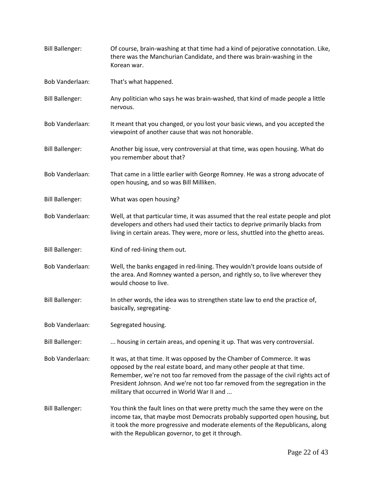[Bill Ballenger:](https://www.rev.com/transcript-editor/Edit?token=ChuRw3TD-qrUkPrYNRyj9FtYPuAUHsBhgMv2OgbrOedgf1K6XEwP11aGcYZzzdOb8g3hrUrBDm5igni3HvrKEud_xyg&loadFrom=DocumentSpeakerNameDeeplink&ts=923.75) Of course, brain-washing at that time had a kind of pejorative connotation. Like, there was the Manchurian Candidate, and there was brain-washing in the Korean war. [Bob Vanderlaan:](https://www.rev.com/transcript-editor/Edit?token=ZPi-GcUm9psxWw5ICB0kIaFTDlUM7-h8hkrN6hhfSXW_-8CYEbmFHqYFw12xTFWI4tqvVwDttd0mp8H-axBq5pS6BaI&loadFrom=DocumentSpeakerNameDeeplink&ts=932.85) That's what happened. [Bill Ballenger:](https://www.rev.com/transcript-editor/Edit?token=U2Hi23LV9p5u_ehn1GKlbt3m1RJgCc8l2aTp4DrhAEcC_5YGMd_2quRYIuvMJWMBXpQga1UyjT8gLcZpSTeKPrbeOew&loadFrom=DocumentSpeakerNameDeeplink&ts=933.46) Any politician who says he was brain-washed, that kind of made people a little nervous. [Bob Vanderlaan:](https://www.rev.com/transcript-editor/Edit?token=_lQoBA8xHRa47rdUNCXClgd7BdSIiTxBUU5TUvhPL1JXD0QuL7ZWd53LWtaU-xPajYJMv938Od1zK2uEspqNnR85u4E&loadFrom=DocumentSpeakerNameDeeplink&ts=938.68) It meant that you changed, or you lost your basic views, and you accepted the viewpoint of another cause that was not honorable. [Bill Ballenger:](https://www.rev.com/transcript-editor/Edit?token=wjCxRCsIbG9JyNFEcGnrNBd-3lq0zitbhPHdpasVJ-plsGbZGORKnJQNwSCYmNDNDLgilm6PXKXsxf_B4Vlms4S9xCs&loadFrom=DocumentSpeakerNameDeeplink&ts=945.91) Another big issue, very controversial at that time, was open housing. What do you remember about that? [Bob Vanderlaan:](https://www.rev.com/transcript-editor/Edit?token=n1eDnoTkKDLwJovQLEfFOu7GRkVWpiw3GDaMPSbLW_xuJ6rKaXXEQgmmRCrdRZGoqOH3X1sxVnTNBU8CrYQajVKCCZ4&loadFrom=DocumentSpeakerNameDeeplink&ts=951.35) That came in a little earlier with George Romney. He was a strong advocate of open housing, and so was Bill Milliken. [Bill Ballenger:](https://www.rev.com/transcript-editor/Edit?token=DwAWgNHLiqNAlnrZL6ClaccR43eF0k-1XYcwxjYcYJBOAh_ncXbgoqCXRJCf2Z2fqkoFXUm66GHPQEV1lSyDfDk-rzg&loadFrom=DocumentSpeakerNameDeeplink&ts=959.3) What was open housing? [Bob Vanderlaan:](https://www.rev.com/transcript-editor/Edit?token=O2l9l2Z7odXvqGVEnmEa-NHiDvCaBpnJ-RBBzIMT-fLmZbRV26DgM6uV3dVgKsa3olfFUuvEThYb6UFbOmp4l5zh_GM&loadFrom=DocumentSpeakerNameDeeplink&ts=961.49) Well, at that particular time, it was assumed that the real estate people and plot developers and others had used their tactics to deprive primarily blacks from living in certain areas. They were, more or less, shuttled into the ghetto areas. [Bill Ballenger:](https://www.rev.com/transcript-editor/Edit?token=NxAXu3ynNJknJTmbisBvm10Frkzi1-kWZuGJjFXyxT5SbZRfD75gpmmVlwjMQ6Tj2hlfjjbUcWKpAuA8nODM_C8uKPY&loadFrom=DocumentSpeakerNameDeeplink&ts=982.27) Kind of red-lining them out. [Bob Vanderlaan:](https://www.rev.com/transcript-editor/Edit?token=CVhAst0zYVrCAKX1woNXK1XfKN-q2Zv5vPPIVa39JX9jwA2qoi9rEyQEabywBqOGqzukCeFg4gDCeuXRWjl64FXFaq8&loadFrom=DocumentSpeakerNameDeeplink&ts=983.99) Well, the banks engaged in red-lining. They wouldn't provide loans outside of the area. And Romney wanted a person, and rightly so, to live wherever they would choose to live. [Bill Ballenger:](https://www.rev.com/transcript-editor/Edit?token=MgnQnn8rUMgx3s6RkFGKBFpemGnLHrlYjVVHMEKQbDn3HqxiNHqf7-5RhxudjbFZNgmgYKcJLdoGfBzui0K0YilkZF8&loadFrom=DocumentSpeakerNameDeeplink&ts=999.12) In other words, the idea was to strengthen state law to end the practice of, basically, segregating-[Bob Vanderlaan:](https://www.rev.com/transcript-editor/Edit?token=ReSiVV0C10EqhOd5D6bcOMiCIiR3T6I-JwshV7oQUlYAS7mLaOa2a_VXLmlyABEbwhjLXWgygi-uRUItlKD7CC1bRCw&loadFrom=DocumentSpeakerNameDeeplink&ts=1008.04) Segregated housing. [Bill Ballenger:](https://www.rev.com/transcript-editor/Edit?token=OEo-v6DUMnianfFRqJp9jgSjoXsMMtV1Umd6AZo_vxuhrssJ-5MNsAyXK-paTLrgClA_jTCy2EIZhY2v3tFGpu7erfU&loadFrom=DocumentSpeakerNameDeeplink&ts=1009.11) ... housing in certain areas, and opening it up. That was very controversial. [Bob Vanderlaan:](https://www.rev.com/transcript-editor/Edit?token=2AvfYjmLaHuBxscjWyvtUehS8EHpARgfAHFm2fghNWPcS2uEUckwpud8wNkRumHpCnERnxXn255Nr_hEBVsNVYXE2Ic&loadFrom=DocumentSpeakerNameDeeplink&ts=1015.07) It was, at that time. It was opposed by the Chamber of Commerce. It was opposed by the real estate board, and many other people at that time. Remember, we're not too far removed from the passage of the civil rights act of President Johnson. And we're not too far removed from the segregation in the military that occurred in World War II and ... [Bill Ballenger:](https://www.rev.com/transcript-editor/Edit?token=-qy4s7MPAh_EgRKJm9mINzWQ7qM4Ad2Otu65UsTAOsplaWgpd8QsO8OByPNrPByhwY7oldEkXQD8G53IHddTUHtlXVg&loadFrom=DocumentSpeakerNameDeeplink&ts=1037) You think the fault lines on that were pretty much the same they were on the income tax, that maybe most Democrats probably supported open housing, but it took the more progressive and moderate elements of the Republicans, along with the Republican governor, to get it through.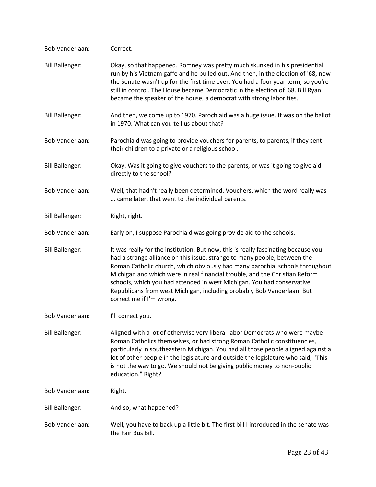| Bob Vanderlaan:        | Correct.                                                                                                                                                                                                                                                                                                                                                                                                                                                                                                       |
|------------------------|----------------------------------------------------------------------------------------------------------------------------------------------------------------------------------------------------------------------------------------------------------------------------------------------------------------------------------------------------------------------------------------------------------------------------------------------------------------------------------------------------------------|
| <b>Bill Ballenger:</b> | Okay, so that happened. Romney was pretty much skunked in his presidential<br>run by his Vietnam gaffe and he pulled out. And then, in the election of '68, now<br>the Senate wasn't up for the first time ever. You had a four year term, so you're<br>still in control. The House became Democratic in the election of '68. Bill Ryan<br>became the speaker of the house, a democrat with strong labor ties.                                                                                                 |
| <b>Bill Ballenger:</b> | And then, we come up to 1970. Parochiaid was a huge issue. It was on the ballot<br>in 1970. What can you tell us about that?                                                                                                                                                                                                                                                                                                                                                                                   |
| Bob Vanderlaan:        | Parochiaid was going to provide vouchers for parents, to parents, if they sent<br>their children to a private or a religious school.                                                                                                                                                                                                                                                                                                                                                                           |
| <b>Bill Ballenger:</b> | Okay. Was it going to give vouchers to the parents, or was it going to give aid<br>directly to the school?                                                                                                                                                                                                                                                                                                                                                                                                     |
| Bob Vanderlaan:        | Well, that hadn't really been determined. Vouchers, which the word really was<br>came later, that went to the individual parents.                                                                                                                                                                                                                                                                                                                                                                              |
| <b>Bill Ballenger:</b> | Right, right.                                                                                                                                                                                                                                                                                                                                                                                                                                                                                                  |
| Bob Vanderlaan:        | Early on, I suppose Parochiaid was going provide aid to the schools.                                                                                                                                                                                                                                                                                                                                                                                                                                           |
| <b>Bill Ballenger:</b> | It was really for the institution. But now, this is really fascinating because you<br>had a strange alliance on this issue, strange to many people, between the<br>Roman Catholic church, which obviously had many parochial schools throughout<br>Michigan and which were in real financial trouble, and the Christian Reform<br>schools, which you had attended in west Michigan. You had conservative<br>Republicans from west Michigan, including probably Bob Vanderlaan. But<br>correct me if I'm wrong. |
| Bob Vanderlaan:        | I'll correct you.                                                                                                                                                                                                                                                                                                                                                                                                                                                                                              |
| <b>Bill Ballenger:</b> | Aligned with a lot of otherwise very liberal labor Democrats who were maybe<br>Roman Catholics themselves, or had strong Roman Catholic constituencies,<br>particularly in southeastern Michigan. You had all those people aligned against a<br>lot of other people in the legislature and outside the legislature who said, "This<br>is not the way to go. We should not be giving public money to non-public<br>education." Right?                                                                           |
| <b>Bob Vanderlaan:</b> | Right.                                                                                                                                                                                                                                                                                                                                                                                                                                                                                                         |
| <b>Bill Ballenger:</b> | And so, what happened?                                                                                                                                                                                                                                                                                                                                                                                                                                                                                         |
| <b>Bob Vanderlaan:</b> | Well, you have to back up a little bit. The first bill I introduced in the senate was<br>the Fair Bus Bill.                                                                                                                                                                                                                                                                                                                                                                                                    |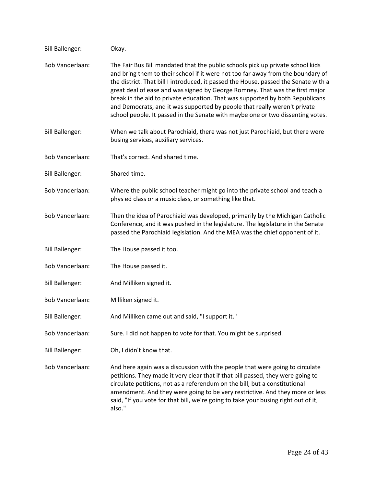| <b>Bill Ballenger:</b> | Okay.                                                                                                                                                                                                                                                                                                                                                                                                                                                                                                                                                                                    |
|------------------------|------------------------------------------------------------------------------------------------------------------------------------------------------------------------------------------------------------------------------------------------------------------------------------------------------------------------------------------------------------------------------------------------------------------------------------------------------------------------------------------------------------------------------------------------------------------------------------------|
| <b>Bob Vanderlaan:</b> | The Fair Bus Bill mandated that the public schools pick up private school kids<br>and bring them to their school if it were not too far away from the boundary of<br>the district. That bill I introduced, it passed the House, passed the Senate with a<br>great deal of ease and was signed by George Romney. That was the first major<br>break in the aid to private education. That was supported by both Republicans<br>and Democrats, and it was supported by people that really weren't private<br>school people. It passed in the Senate with maybe one or two dissenting votes. |
| <b>Bill Ballenger:</b> | When we talk about Parochiaid, there was not just Parochiaid, but there were<br>busing services, auxiliary services.                                                                                                                                                                                                                                                                                                                                                                                                                                                                     |
| Bob Vanderlaan:        | That's correct. And shared time.                                                                                                                                                                                                                                                                                                                                                                                                                                                                                                                                                         |
| <b>Bill Ballenger:</b> | Shared time.                                                                                                                                                                                                                                                                                                                                                                                                                                                                                                                                                                             |
| <b>Bob Vanderlaan:</b> | Where the public school teacher might go into the private school and teach a<br>phys ed class or a music class, or something like that.                                                                                                                                                                                                                                                                                                                                                                                                                                                  |
| Bob Vanderlaan:        | Then the idea of Parochiaid was developed, primarily by the Michigan Catholic<br>Conference, and it was pushed in the legislature. The legislature in the Senate<br>passed the Parochiaid legislation. And the MEA was the chief opponent of it.                                                                                                                                                                                                                                                                                                                                         |
| <b>Bill Ballenger:</b> | The House passed it too.                                                                                                                                                                                                                                                                                                                                                                                                                                                                                                                                                                 |
| Bob Vanderlaan:        | The House passed it.                                                                                                                                                                                                                                                                                                                                                                                                                                                                                                                                                                     |
| <b>Bill Ballenger:</b> | And Milliken signed it.                                                                                                                                                                                                                                                                                                                                                                                                                                                                                                                                                                  |
| Bob Vanderlaan:        | Milliken signed it.                                                                                                                                                                                                                                                                                                                                                                                                                                                                                                                                                                      |
| <b>Bill Ballenger:</b> | And Milliken came out and said, "I support it."                                                                                                                                                                                                                                                                                                                                                                                                                                                                                                                                          |
| Bob Vanderlaan:        | Sure. I did not happen to vote for that. You might be surprised.                                                                                                                                                                                                                                                                                                                                                                                                                                                                                                                         |
| <b>Bill Ballenger:</b> | Oh, I didn't know that.                                                                                                                                                                                                                                                                                                                                                                                                                                                                                                                                                                  |
| <b>Bob Vanderlaan:</b> | And here again was a discussion with the people that were going to circulate<br>petitions. They made it very clear that if that bill passed, they were going to<br>circulate petitions, not as a referendum on the bill, but a constitutional<br>amendment. And they were going to be very restrictive. And they more or less<br>said, "If you vote for that bill, we're going to take your busing right out of it,<br>also."                                                                                                                                                            |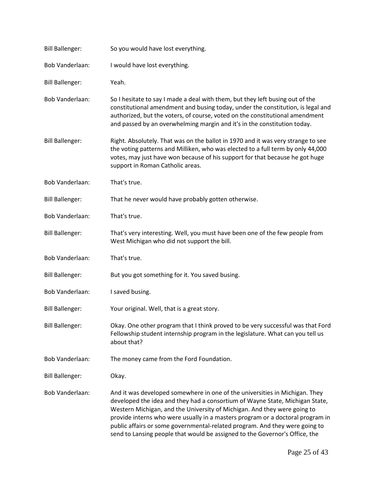| <b>Bill Ballenger:</b> | So you would have lost everything.                                                                                                                                                                                                                                                                                                                                                                                                                                                      |
|------------------------|-----------------------------------------------------------------------------------------------------------------------------------------------------------------------------------------------------------------------------------------------------------------------------------------------------------------------------------------------------------------------------------------------------------------------------------------------------------------------------------------|
| Bob Vanderlaan:        | I would have lost everything.                                                                                                                                                                                                                                                                                                                                                                                                                                                           |
| <b>Bill Ballenger:</b> | Yeah.                                                                                                                                                                                                                                                                                                                                                                                                                                                                                   |
| <b>Bob Vanderlaan:</b> | So I hesitate to say I made a deal with them, but they left busing out of the<br>constitutional amendment and busing today, under the constitution, is legal and<br>authorized, but the voters, of course, voted on the constitutional amendment<br>and passed by an overwhelming margin and it's in the constitution today.                                                                                                                                                            |
| <b>Bill Ballenger:</b> | Right. Absolutely. That was on the ballot in 1970 and it was very strange to see<br>the voting patterns and Milliken, who was elected to a full term by only 44,000<br>votes, may just have won because of his support for that because he got huge<br>support in Roman Catholic areas.                                                                                                                                                                                                 |
| <b>Bob Vanderlaan:</b> | That's true.                                                                                                                                                                                                                                                                                                                                                                                                                                                                            |
| <b>Bill Ballenger:</b> | That he never would have probably gotten otherwise.                                                                                                                                                                                                                                                                                                                                                                                                                                     |
| <b>Bob Vanderlaan:</b> | That's true.                                                                                                                                                                                                                                                                                                                                                                                                                                                                            |
| <b>Bill Ballenger:</b> | That's very interesting. Well, you must have been one of the few people from<br>West Michigan who did not support the bill.                                                                                                                                                                                                                                                                                                                                                             |
| <b>Bob Vanderlaan:</b> | That's true.                                                                                                                                                                                                                                                                                                                                                                                                                                                                            |
| <b>Bill Ballenger:</b> | But you got something for it. You saved busing.                                                                                                                                                                                                                                                                                                                                                                                                                                         |
| Bob Vanderlaan:        | I saved busing.                                                                                                                                                                                                                                                                                                                                                                                                                                                                         |
| <b>Bill Ballenger:</b> | Your original. Well, that is a great story.                                                                                                                                                                                                                                                                                                                                                                                                                                             |
| <b>Bill Ballenger:</b> | Okay. One other program that I think proved to be very successful was that Ford<br>Fellowship student internship program in the legislature. What can you tell us<br>about that?                                                                                                                                                                                                                                                                                                        |
| <b>Bob Vanderlaan:</b> | The money came from the Ford Foundation.                                                                                                                                                                                                                                                                                                                                                                                                                                                |
| <b>Bill Ballenger:</b> | Okay.                                                                                                                                                                                                                                                                                                                                                                                                                                                                                   |
| Bob Vanderlaan:        | And it was developed somewhere in one of the universities in Michigan. They<br>developed the idea and they had a consortium of Wayne State, Michigan State,<br>Western Michigan, and the University of Michigan. And they were going to<br>provide interns who were usually in a masters program or a doctoral program in<br>public affairs or some governmental-related program. And they were going to<br>send to Lansing people that would be assigned to the Governor's Office, the |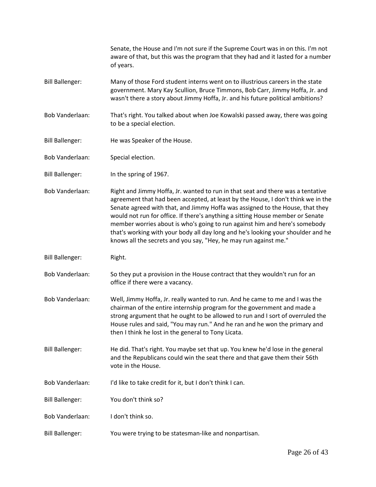Senate, the House and I'm not sure if the Supreme Court was in on this. I'm not aware of that, but this was the program that they had and it lasted for a number of years. Bill Ballenger: Many of those Ford student interns went on to illustrious careers in the state government. Mary Kay Scullion, Bruce Timmons, Bob Carr, Jimmy Hoffa, Jr. and wasn't there a story about Jimmy Hoffa, Jr. and his future political ambitions? Bob Vanderlaan: That's right. You talked about when Joe Kowalski passed away, there was going to be a special election. Bill Ballenger: He was Speaker of the House. Bob Vanderlaan: Special election. Bill Ballenger: In the spring of 1967. Bob Vanderlaan: Right and Jimmy Hoffa, Jr. wanted to run in that seat and there was a tentative agreement that had been accepted, at least by the House, I don't think we in the Senate agreed with that, and Jimmy Hoffa was assigned to the House, that they would not run for office. If there's anything a sitting House member or Senate member worries about is who's going to run against him and here's somebody that's working with your body all day long and he's looking your shoulder and he knows all the secrets and you say, "Hey, he may run against me." Bill Ballenger: Right. Bob Vanderlaan: So they put a provision in the House contract that they wouldn't run for an office if there were a vacancy. Bob Vanderlaan: Well, Jimmy Hoffa, Jr. really wanted to run. And he came to me and I was the chairman of the entire internship program for the government and made a strong argument that he ought to be allowed to run and I sort of overruled the House rules and said, "You may run." And he ran and he won the primary and then I think he lost in the general to Tony Licata. Bill Ballenger: He did. That's right. You maybe set that up. You knew he'd lose in the general and the Republicans could win the seat there and that gave them their 56th vote in the House. Bob Vanderlaan: I'd like to take credit for it, but I don't think I can. Bill Ballenger: You don't think so? Bob Vanderlaan: I don't think so. Bill Ballenger: You were trying to be statesman-like and nonpartisan.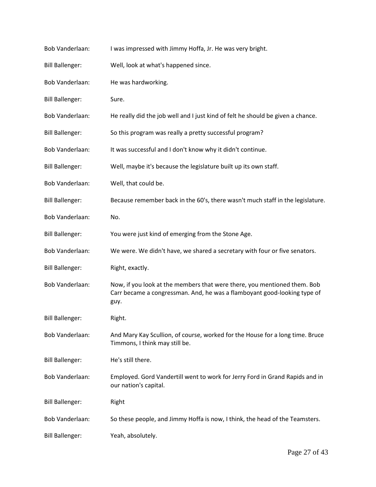| <b>Bob Vanderlaan:</b> | I was impressed with Jimmy Hoffa, Jr. He was very bright.                                                                                                    |
|------------------------|--------------------------------------------------------------------------------------------------------------------------------------------------------------|
| <b>Bill Ballenger:</b> | Well, look at what's happened since.                                                                                                                         |
| <b>Bob Vanderlaan:</b> | He was hardworking.                                                                                                                                          |
| <b>Bill Ballenger:</b> | Sure.                                                                                                                                                        |
| <b>Bob Vanderlaan:</b> | He really did the job well and I just kind of felt he should be given a chance.                                                                              |
| <b>Bill Ballenger:</b> | So this program was really a pretty successful program?                                                                                                      |
| Bob Vanderlaan:        | It was successful and I don't know why it didn't continue.                                                                                                   |
| <b>Bill Ballenger:</b> | Well, maybe it's because the legislature built up its own staff.                                                                                             |
| <b>Bob Vanderlaan:</b> | Well, that could be.                                                                                                                                         |
| <b>Bill Ballenger:</b> | Because remember back in the 60's, there wasn't much staff in the legislature.                                                                               |
| Bob Vanderlaan:        | No.                                                                                                                                                          |
| <b>Bill Ballenger:</b> | You were just kind of emerging from the Stone Age.                                                                                                           |
| Bob Vanderlaan:        | We were. We didn't have, we shared a secretary with four or five senators.                                                                                   |
| <b>Bill Ballenger:</b> | Right, exactly.                                                                                                                                              |
| <b>Bob Vanderlaan:</b> | Now, if you look at the members that were there, you mentioned them. Bob<br>Carr became a congressman. And, he was a flamboyant good-looking type of<br>guy. |
| <b>Bill Ballenger:</b> | Right.                                                                                                                                                       |
| Bob Vanderlaan:        | And Mary Kay Scullion, of course, worked for the House for a long time. Bruce<br>Timmons, I think may still be.                                              |
| <b>Bill Ballenger:</b> | He's still there.                                                                                                                                            |
| <b>Bob Vanderlaan:</b> | Employed. Gord Vandertill went to work for Jerry Ford in Grand Rapids and in<br>our nation's capital.                                                        |
| <b>Bill Ballenger:</b> | Right                                                                                                                                                        |
| Bob Vanderlaan:        | So these people, and Jimmy Hoffa is now, I think, the head of the Teamsters.                                                                                 |
| <b>Bill Ballenger:</b> | Yeah, absolutely.                                                                                                                                            |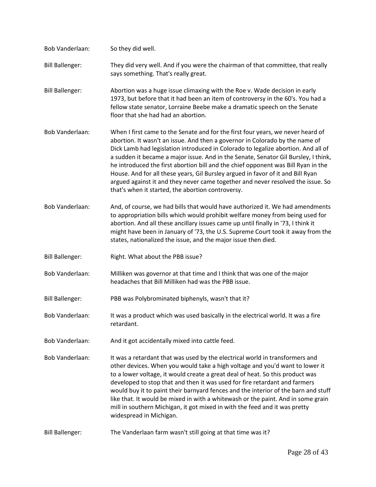| Bob Vanderlaan:        | So they did well.                                                                                                                                                                                                                                                                                                                                                                                                                                                                                                                                                                                                                                          |
|------------------------|------------------------------------------------------------------------------------------------------------------------------------------------------------------------------------------------------------------------------------------------------------------------------------------------------------------------------------------------------------------------------------------------------------------------------------------------------------------------------------------------------------------------------------------------------------------------------------------------------------------------------------------------------------|
| <b>Bill Ballenger:</b> | They did very well. And if you were the chairman of that committee, that really<br>says something. That's really great.                                                                                                                                                                                                                                                                                                                                                                                                                                                                                                                                    |
| <b>Bill Ballenger:</b> | Abortion was a huge issue climaxing with the Roe v. Wade decision in early<br>1973, but before that it had been an item of controversy in the 60's. You had a<br>fellow state senator, Lorraine Beebe make a dramatic speech on the Senate<br>floor that she had had an abortion.                                                                                                                                                                                                                                                                                                                                                                          |
| <b>Bob Vanderlaan:</b> | When I first came to the Senate and for the first four years, we never heard of<br>abortion. It wasn't an issue. And then a governor in Colorado by the name of<br>Dick Lamb had legislation introduced in Colorado to legalize abortion. And all of<br>a sudden it became a major issue. And in the Senate, Senator Gil Bursley, I think,<br>he introduced the first abortion bill and the chief opponent was Bill Ryan in the<br>House. And for all these years, Gil Bursley argued in favor of it and Bill Ryan<br>argued against it and they never came together and never resolved the issue. So<br>that's when it started, the abortion controversy. |
| <b>Bob Vanderlaan:</b> | And, of course, we had bills that would have authorized it. We had amendments<br>to appropriation bills which would prohibit welfare money from being used for<br>abortion. And all these ancillary issues came up until finally in '73, I think it<br>might have been in January of '73, the U.S. Supreme Court took it away from the<br>states, nationalized the issue, and the major issue then died.                                                                                                                                                                                                                                                   |
| <b>Bill Ballenger:</b> | Right. What about the PBB issue?                                                                                                                                                                                                                                                                                                                                                                                                                                                                                                                                                                                                                           |
| <b>Bob Vanderlaan:</b> | Milliken was governor at that time and I think that was one of the major<br>headaches that Bill Milliken had was the PBB issue.                                                                                                                                                                                                                                                                                                                                                                                                                                                                                                                            |
| <b>Bill Ballenger:</b> | PBB was Polybrominated biphenyls, wasn't that it?                                                                                                                                                                                                                                                                                                                                                                                                                                                                                                                                                                                                          |
| <b>Bob Vanderlaan:</b> | It was a product which was used basically in the electrical world. It was a fire<br>retardant.                                                                                                                                                                                                                                                                                                                                                                                                                                                                                                                                                             |
| Bob Vanderlaan:        | And it got accidentally mixed into cattle feed.                                                                                                                                                                                                                                                                                                                                                                                                                                                                                                                                                                                                            |
| <b>Bob Vanderlaan:</b> | It was a retardant that was used by the electrical world in transformers and<br>other devices. When you would take a high voltage and you'd want to lower it<br>to a lower voltage, it would create a great deal of heat. So this product was<br>developed to stop that and then it was used for fire retardant and farmers<br>would buy it to paint their barnyard fences and the interior of the barn and stuff<br>like that. It would be mixed in with a whitewash or the paint. And in some grain<br>mill in southern Michigan, it got mixed in with the feed and it was pretty<br>widespread in Michigan.                                             |
| <b>Bill Ballenger:</b> | The Vanderlaan farm wasn't still going at that time was it?                                                                                                                                                                                                                                                                                                                                                                                                                                                                                                                                                                                                |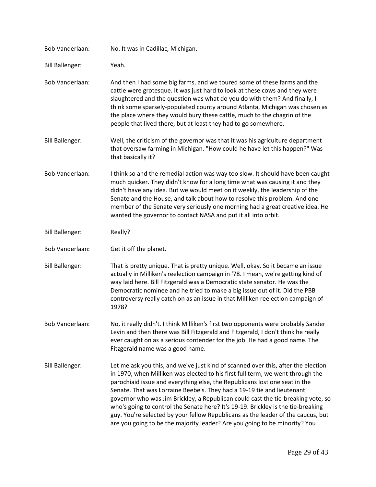| <b>Bob Vanderlaan:</b> | No. It was in Cadillac, Michigan.                                                                                                                                                                                                                                                                                                                                                                                                                                                                                                                                                                                                                                     |
|------------------------|-----------------------------------------------------------------------------------------------------------------------------------------------------------------------------------------------------------------------------------------------------------------------------------------------------------------------------------------------------------------------------------------------------------------------------------------------------------------------------------------------------------------------------------------------------------------------------------------------------------------------------------------------------------------------|
| <b>Bill Ballenger:</b> | Yeah.                                                                                                                                                                                                                                                                                                                                                                                                                                                                                                                                                                                                                                                                 |
| <b>Bob Vanderlaan:</b> | And then I had some big farms, and we toured some of these farms and the<br>cattle were grotesque. It was just hard to look at these cows and they were<br>slaughtered and the question was what do you do with them? And finally, I<br>think some sparsely-populated county around Atlanta, Michigan was chosen as<br>the place where they would bury these cattle, much to the chagrin of the<br>people that lived there, but at least they had to go somewhere.                                                                                                                                                                                                    |
| <b>Bill Ballenger:</b> | Well, the criticism of the governor was that it was his agriculture department<br>that oversaw farming in Michigan. "How could he have let this happen?" Was<br>that basically it?                                                                                                                                                                                                                                                                                                                                                                                                                                                                                    |
| Bob Vanderlaan:        | I think so and the remedial action was way too slow. It should have been caught<br>much quicker. They didn't know for a long time what was causing it and they<br>didn't have any idea. But we would meet on it weekly, the leadership of the<br>Senate and the House, and talk about how to resolve this problem. And one<br>member of the Senate very seriously one morning had a great creative idea. He<br>wanted the governor to contact NASA and put it all into orbit.                                                                                                                                                                                         |
| <b>Bill Ballenger:</b> | Really?                                                                                                                                                                                                                                                                                                                                                                                                                                                                                                                                                                                                                                                               |
| Bob Vanderlaan:        | Get it off the planet.                                                                                                                                                                                                                                                                                                                                                                                                                                                                                                                                                                                                                                                |
| <b>Bill Ballenger:</b> | That is pretty unique. That is pretty unique. Well, okay. So it became an issue<br>actually in Milliken's reelection campaign in '78. I mean, we're getting kind of<br>way laid here. Bill Fitzgerald was a Democratic state senator. He was the<br>Democratic nominee and he tried to make a big issue out of it. Did the PBB<br>controversy really catch on as an issue in that Milliken reelection campaign of<br>1978?                                                                                                                                                                                                                                            |
| Bob Vanderlaan:        | No, it really didn't. I think Milliken's first two opponents were probably Sander<br>Levin and then there was Bill Fitzgerald and Fitzgerald, I don't think he really<br>ever caught on as a serious contender for the job. He had a good name. The<br>Fitzgerald name was a good name.                                                                                                                                                                                                                                                                                                                                                                               |
| <b>Bill Ballenger:</b> | Let me ask you this, and we've just kind of scanned over this, after the election<br>in 1970, when Milliken was elected to his first full term, we went through the<br>parochiaid issue and everything else, the Republicans lost one seat in the<br>Senate. That was Lorraine Beebe's. They had a 19-19 tie and lieutenant<br>governor who was Jim Brickley, a Republican could cast the tie-breaking vote, so<br>who's going to control the Senate here? It's 19-19. Brickley is the tie-breaking<br>guy. You're selected by your fellow Republicans as the leader of the caucus, but<br>are you going to be the majority leader? Are you going to be minority? You |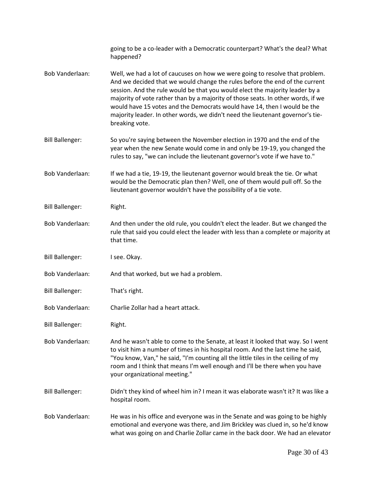|                        | going to be a co-leader with a Democratic counterpart? What's the deal? What<br>happened?                                                                                                                                                                                                                                                                                                                                                                                                                       |
|------------------------|-----------------------------------------------------------------------------------------------------------------------------------------------------------------------------------------------------------------------------------------------------------------------------------------------------------------------------------------------------------------------------------------------------------------------------------------------------------------------------------------------------------------|
| <b>Bob Vanderlaan:</b> | Well, we had a lot of caucuses on how we were going to resolve that problem.<br>And we decided that we would change the rules before the end of the current<br>session. And the rule would be that you would elect the majority leader by a<br>majority of vote rather than by a majority of those seats. In other words, if we<br>would have 15 votes and the Democrats would have 14, then I would be the<br>majority leader. In other words, we didn't need the lieutenant governor's tie-<br>breaking vote. |
| <b>Bill Ballenger:</b> | So you're saying between the November election in 1970 and the end of the<br>year when the new Senate would come in and only be 19-19, you changed the<br>rules to say, "we can include the lieutenant governor's vote if we have to."                                                                                                                                                                                                                                                                          |
| Bob Vanderlaan:        | If we had a tie, 19-19, the lieutenant governor would break the tie. Or what<br>would be the Democratic plan then? Well, one of them would pull off. So the<br>lieutenant governor wouldn't have the possibility of a tie vote.                                                                                                                                                                                                                                                                                 |
| <b>Bill Ballenger:</b> | Right.                                                                                                                                                                                                                                                                                                                                                                                                                                                                                                          |
| <b>Bob Vanderlaan:</b> | And then under the old rule, you couldn't elect the leader. But we changed the<br>rule that said you could elect the leader with less than a complete or majority at<br>that time.                                                                                                                                                                                                                                                                                                                              |
| <b>Bill Ballenger:</b> | I see. Okay.                                                                                                                                                                                                                                                                                                                                                                                                                                                                                                    |
| Bob Vanderlaan:        | And that worked, but we had a problem.                                                                                                                                                                                                                                                                                                                                                                                                                                                                          |
| <b>Bill Ballenger:</b> | That's right.                                                                                                                                                                                                                                                                                                                                                                                                                                                                                                   |
| Bob Vanderlaan:        | Charlie Zollar had a heart attack.                                                                                                                                                                                                                                                                                                                                                                                                                                                                              |
| <b>Bill Ballenger:</b> | Right.                                                                                                                                                                                                                                                                                                                                                                                                                                                                                                          |
| <b>Bob Vanderlaan:</b> | And he wasn't able to come to the Senate, at least it looked that way. So I went<br>to visit him a number of times in his hospital room. And the last time he said,<br>"You know, Van," he said, "I'm counting all the little tiles in the ceiling of my<br>room and I think that means I'm well enough and I'll be there when you have<br>your organizational meeting."                                                                                                                                        |
| <b>Bill Ballenger:</b> | Didn't they kind of wheel him in? I mean it was elaborate wasn't it? It was like a<br>hospital room.                                                                                                                                                                                                                                                                                                                                                                                                            |
| <b>Bob Vanderlaan:</b> | He was in his office and everyone was in the Senate and was going to be highly<br>emotional and everyone was there, and Jim Brickley was clued in, so he'd know<br>what was going on and Charlie Zollar came in the back door. We had an elevator                                                                                                                                                                                                                                                               |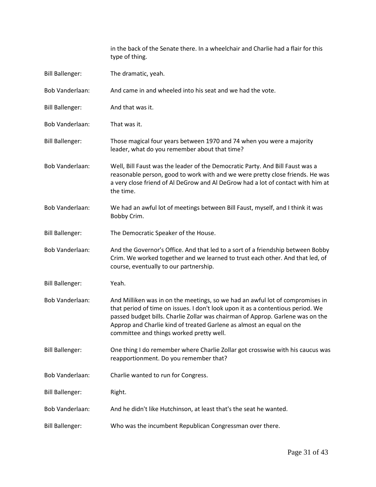|                        | in the back of the Senate there. In a wheelchair and Charlie had a flair for this<br>type of thing.                                                                                                                                                                                                                                                                    |
|------------------------|------------------------------------------------------------------------------------------------------------------------------------------------------------------------------------------------------------------------------------------------------------------------------------------------------------------------------------------------------------------------|
| <b>Bill Ballenger:</b> | The dramatic, yeah.                                                                                                                                                                                                                                                                                                                                                    |
| Bob Vanderlaan:        | And came in and wheeled into his seat and we had the vote.                                                                                                                                                                                                                                                                                                             |
| <b>Bill Ballenger:</b> | And that was it.                                                                                                                                                                                                                                                                                                                                                       |
| <b>Bob Vanderlaan:</b> | That was it.                                                                                                                                                                                                                                                                                                                                                           |
| <b>Bill Ballenger:</b> | Those magical four years between 1970 and 74 when you were a majority<br>leader, what do you remember about that time?                                                                                                                                                                                                                                                 |
| Bob Vanderlaan:        | Well, Bill Faust was the leader of the Democratic Party. And Bill Faust was a<br>reasonable person, good to work with and we were pretty close friends. He was<br>a very close friend of Al DeGrow and Al DeGrow had a lot of contact with him at<br>the time.                                                                                                         |
| <b>Bob Vanderlaan:</b> | We had an awful lot of meetings between Bill Faust, myself, and I think it was<br>Bobby Crim.                                                                                                                                                                                                                                                                          |
| <b>Bill Ballenger:</b> | The Democratic Speaker of the House.                                                                                                                                                                                                                                                                                                                                   |
| <b>Bob Vanderlaan:</b> | And the Governor's Office. And that led to a sort of a friendship between Bobby<br>Crim. We worked together and we learned to trust each other. And that led, of<br>course, eventually to our partnership.                                                                                                                                                             |
| <b>Bill Ballenger:</b> | Yeah.                                                                                                                                                                                                                                                                                                                                                                  |
| <b>Bob Vanderlaan:</b> | And Milliken was in on the meetings, so we had an awful lot of compromises in<br>that period of time on issues. I don't look upon it as a contentious period. We<br>passed budget bills. Charlie Zollar was chairman of Approp. Garlene was on the<br>Approp and Charlie kind of treated Garlene as almost an equal on the<br>committee and things worked pretty well. |
| <b>Bill Ballenger:</b> | One thing I do remember where Charlie Zollar got crosswise with his caucus was<br>reapportionment. Do you remember that?                                                                                                                                                                                                                                               |
| Bob Vanderlaan:        | Charlie wanted to run for Congress.                                                                                                                                                                                                                                                                                                                                    |
| <b>Bill Ballenger:</b> | Right.                                                                                                                                                                                                                                                                                                                                                                 |
| Bob Vanderlaan:        | And he didn't like Hutchinson, at least that's the seat he wanted.                                                                                                                                                                                                                                                                                                     |
| <b>Bill Ballenger:</b> | Who was the incumbent Republican Congressman over there.                                                                                                                                                                                                                                                                                                               |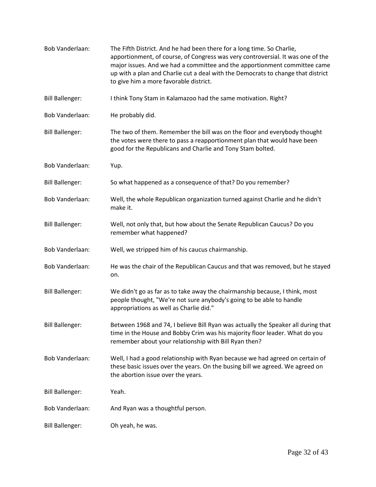| Bob Vanderlaan:        | The Fifth District. And he had been there for a long time. So Charlie,<br>apportionment, of course, of Congress was very controversial. It was one of the<br>major issues. And we had a committee and the apportionment committee came<br>up with a plan and Charlie cut a deal with the Democrats to change that district<br>to give him a more favorable district. |
|------------------------|----------------------------------------------------------------------------------------------------------------------------------------------------------------------------------------------------------------------------------------------------------------------------------------------------------------------------------------------------------------------|
| <b>Bill Ballenger:</b> | I think Tony Stam in Kalamazoo had the same motivation. Right?                                                                                                                                                                                                                                                                                                       |
| Bob Vanderlaan:        | He probably did.                                                                                                                                                                                                                                                                                                                                                     |
| <b>Bill Ballenger:</b> | The two of them. Remember the bill was on the floor and everybody thought<br>the votes were there to pass a reapportionment plan that would have been<br>good for the Republicans and Charlie and Tony Stam bolted.                                                                                                                                                  |
| Bob Vanderlaan:        | Yup.                                                                                                                                                                                                                                                                                                                                                                 |
| <b>Bill Ballenger:</b> | So what happened as a consequence of that? Do you remember?                                                                                                                                                                                                                                                                                                          |
| Bob Vanderlaan:        | Well, the whole Republican organization turned against Charlie and he didn't<br>make it.                                                                                                                                                                                                                                                                             |
| <b>Bill Ballenger:</b> | Well, not only that, but how about the Senate Republican Caucus? Do you<br>remember what happened?                                                                                                                                                                                                                                                                   |
| Bob Vanderlaan:        | Well, we stripped him of his caucus chairmanship.                                                                                                                                                                                                                                                                                                                    |
| Bob Vanderlaan:        | He was the chair of the Republican Caucus and that was removed, but he stayed<br>on.                                                                                                                                                                                                                                                                                 |
| <b>Bill Ballenger:</b> | We didn't go as far as to take away the chairmanship because, I think, most<br>people thought, "We're not sure anybody's going to be able to handle<br>appropriations as well as Charlie did."                                                                                                                                                                       |
| <b>Bill Ballenger:</b> | Between 1968 and 74, I believe Bill Ryan was actually the Speaker all during that<br>time in the House and Bobby Crim was his majority floor leader. What do you<br>remember about your relationship with Bill Ryan then?                                                                                                                                            |
| <b>Bob Vanderlaan:</b> | Well, I had a good relationship with Ryan because we had agreed on certain of<br>these basic issues over the years. On the busing bill we agreed. We agreed on<br>the abortion issue over the years.                                                                                                                                                                 |
| <b>Bill Ballenger:</b> | Yeah.                                                                                                                                                                                                                                                                                                                                                                |
| Bob Vanderlaan:        | And Ryan was a thoughtful person.                                                                                                                                                                                                                                                                                                                                    |
| <b>Bill Ballenger:</b> | Oh yeah, he was.                                                                                                                                                                                                                                                                                                                                                     |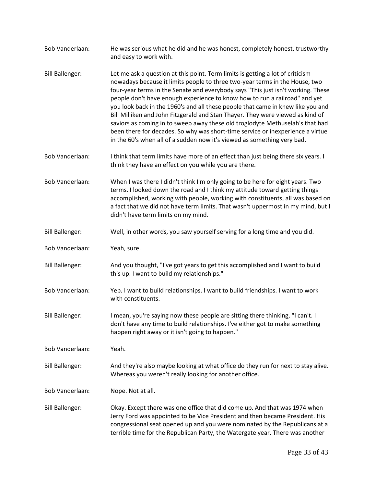| <b>Bob Vanderlaan:</b> | He was serious what he did and he was honest, completely honest, trustworthy<br>and easy to work with.                                                                                                                                                                                                                                                                                                                                                                                                                                                                                                                                                                                                                                             |
|------------------------|----------------------------------------------------------------------------------------------------------------------------------------------------------------------------------------------------------------------------------------------------------------------------------------------------------------------------------------------------------------------------------------------------------------------------------------------------------------------------------------------------------------------------------------------------------------------------------------------------------------------------------------------------------------------------------------------------------------------------------------------------|
| <b>Bill Ballenger:</b> | Let me ask a question at this point. Term limits is getting a lot of criticism<br>nowadays because it limits people to three two-year terms in the House, two<br>four-year terms in the Senate and everybody says "This just isn't working. These<br>people don't have enough experience to know how to run a railroad" and yet<br>you look back in the 1960's and all these people that came in knew like you and<br>Bill Milliken and John Fitzgerald and Stan Thayer. They were viewed as kind of<br>saviors as coming in to sweep away these old troglodyte Methuselah's that had<br>been there for decades. So why was short-time service or inexperience a virtue<br>in the 60's when all of a sudden now it's viewed as something very bad. |
| Bob Vanderlaan:        | I think that term limits have more of an effect than just being there six years. I<br>think they have an effect on you while you are there.                                                                                                                                                                                                                                                                                                                                                                                                                                                                                                                                                                                                        |
| Bob Vanderlaan:        | When I was there I didn't think I'm only going to be here for eight years. Two<br>terms. I looked down the road and I think my attitude toward getting things<br>accomplished, working with people, working with constituents, all was based on<br>a fact that we did not have term limits. That wasn't uppermost in my mind, but I<br>didn't have term limits on my mind.                                                                                                                                                                                                                                                                                                                                                                         |
| <b>Bill Ballenger:</b> | Well, in other words, you saw yourself serving for a long time and you did.                                                                                                                                                                                                                                                                                                                                                                                                                                                                                                                                                                                                                                                                        |
| <b>Bob Vanderlaan:</b> | Yeah, sure.                                                                                                                                                                                                                                                                                                                                                                                                                                                                                                                                                                                                                                                                                                                                        |
| <b>Bill Ballenger:</b> | And you thought, "I've got years to get this accomplished and I want to build<br>this up. I want to build my relationships."                                                                                                                                                                                                                                                                                                                                                                                                                                                                                                                                                                                                                       |
| Bob Vanderlaan:        | Yep. I want to build relationships. I want to build friendships. I want to work<br>with constituents.                                                                                                                                                                                                                                                                                                                                                                                                                                                                                                                                                                                                                                              |
| <b>Bill Ballenger:</b> | I mean, you're saying now these people are sitting there thinking, "I can't. I<br>don't have any time to build relationships. I've either got to make something<br>happen right away or it isn't going to happen."                                                                                                                                                                                                                                                                                                                                                                                                                                                                                                                                 |
| <b>Bob Vanderlaan:</b> | Yeah.                                                                                                                                                                                                                                                                                                                                                                                                                                                                                                                                                                                                                                                                                                                                              |
| <b>Bill Ballenger:</b> | And they're also maybe looking at what office do they run for next to stay alive.<br>Whereas you weren't really looking for another office.                                                                                                                                                                                                                                                                                                                                                                                                                                                                                                                                                                                                        |
| Bob Vanderlaan:        | Nope. Not at all.                                                                                                                                                                                                                                                                                                                                                                                                                                                                                                                                                                                                                                                                                                                                  |
| <b>Bill Ballenger:</b> | Okay. Except there was one office that did come up. And that was 1974 when<br>Jerry Ford was appointed to be Vice President and then became President. His<br>congressional seat opened up and you were nominated by the Republicans at a<br>terrible time for the Republican Party, the Watergate year. There was another                                                                                                                                                                                                                                                                                                                                                                                                                         |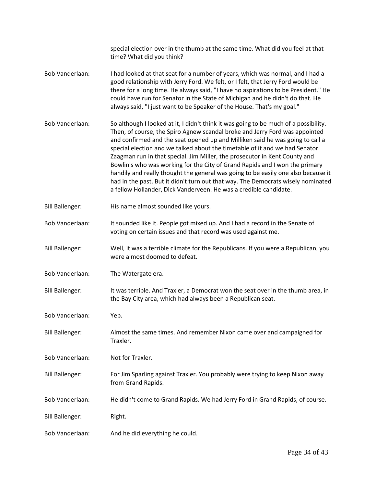|                        | special election over in the thumb at the same time. What did you feel at that<br>time? What did you think?                                                                                                                                                                                                                                                                                                                                                                                                                                                                                                                                                                                                                                    |
|------------------------|------------------------------------------------------------------------------------------------------------------------------------------------------------------------------------------------------------------------------------------------------------------------------------------------------------------------------------------------------------------------------------------------------------------------------------------------------------------------------------------------------------------------------------------------------------------------------------------------------------------------------------------------------------------------------------------------------------------------------------------------|
| <b>Bob Vanderlaan:</b> | I had looked at that seat for a number of years, which was normal, and I had a<br>good relationship with Jerry Ford. We felt, or I felt, that Jerry Ford would be<br>there for a long time. He always said, "I have no aspirations to be President." He<br>could have run for Senator in the State of Michigan and he didn't do that. He<br>always said, "I just want to be Speaker of the House. That's my goal."                                                                                                                                                                                                                                                                                                                             |
| <b>Bob Vanderlaan:</b> | So although I looked at it, I didn't think it was going to be much of a possibility.<br>Then, of course, the Spiro Agnew scandal broke and Jerry Ford was appointed<br>and confirmed and the seat opened up and Milliken said he was going to call a<br>special election and we talked about the timetable of it and we had Senator<br>Zaagman run in that special. Jim Miller, the prosecutor in Kent County and<br>Bowlin's who was working for the City of Grand Rapids and I won the primary<br>handily and really thought the general was going to be easily one also because it<br>had in the past. But it didn't turn out that way. The Democrats wisely nominated<br>a fellow Hollander, Dick Vanderveen. He was a credible candidate. |
| <b>Bill Ballenger:</b> | His name almost sounded like yours.                                                                                                                                                                                                                                                                                                                                                                                                                                                                                                                                                                                                                                                                                                            |
| Bob Vanderlaan:        | It sounded like it. People got mixed up. And I had a record in the Senate of<br>voting on certain issues and that record was used against me.                                                                                                                                                                                                                                                                                                                                                                                                                                                                                                                                                                                                  |
| <b>Bill Ballenger:</b> | Well, it was a terrible climate for the Republicans. If you were a Republican, you<br>were almost doomed to defeat.                                                                                                                                                                                                                                                                                                                                                                                                                                                                                                                                                                                                                            |
| Bob Vanderlaan:        | The Watergate era.                                                                                                                                                                                                                                                                                                                                                                                                                                                                                                                                                                                                                                                                                                                             |
| <b>Bill Ballenger:</b> | It was terrible. And Traxler, a Democrat won the seat over in the thumb area, in<br>the Bay City area, which had always been a Republican seat.                                                                                                                                                                                                                                                                                                                                                                                                                                                                                                                                                                                                |
| <b>Bob Vanderlaan:</b> | Yep.                                                                                                                                                                                                                                                                                                                                                                                                                                                                                                                                                                                                                                                                                                                                           |
| <b>Bill Ballenger:</b> | Almost the same times. And remember Nixon came over and campaigned for<br>Traxler.                                                                                                                                                                                                                                                                                                                                                                                                                                                                                                                                                                                                                                                             |
| <b>Bob Vanderlaan:</b> | Not for Traxler.                                                                                                                                                                                                                                                                                                                                                                                                                                                                                                                                                                                                                                                                                                                               |
| <b>Bill Ballenger:</b> | For Jim Sparling against Traxler. You probably were trying to keep Nixon away<br>from Grand Rapids.                                                                                                                                                                                                                                                                                                                                                                                                                                                                                                                                                                                                                                            |
| Bob Vanderlaan:        | He didn't come to Grand Rapids. We had Jerry Ford in Grand Rapids, of course.                                                                                                                                                                                                                                                                                                                                                                                                                                                                                                                                                                                                                                                                  |
| <b>Bill Ballenger:</b> | Right.                                                                                                                                                                                                                                                                                                                                                                                                                                                                                                                                                                                                                                                                                                                                         |
| Bob Vanderlaan:        | And he did everything he could.                                                                                                                                                                                                                                                                                                                                                                                                                                                                                                                                                                                                                                                                                                                |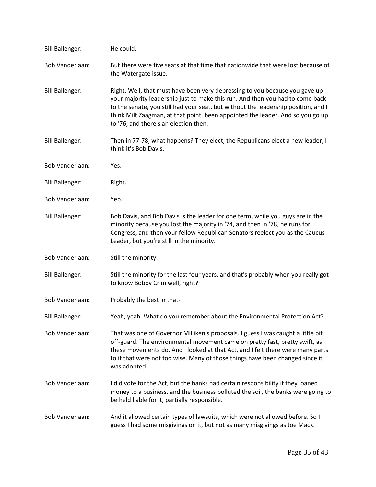| <b>Bill Ballenger:</b> | He could.                                                                                                                                                                                                                                                                                                                                                                     |
|------------------------|-------------------------------------------------------------------------------------------------------------------------------------------------------------------------------------------------------------------------------------------------------------------------------------------------------------------------------------------------------------------------------|
| <b>Bob Vanderlaan:</b> | But there were five seats at that time that nationwide that were lost because of<br>the Watergate issue.                                                                                                                                                                                                                                                                      |
| <b>Bill Ballenger:</b> | Right. Well, that must have been very depressing to you because you gave up<br>your majority leadership just to make this run. And then you had to come back<br>to the senate, you still had your seat, but without the leadership position, and I<br>think Milt Zaagman, at that point, been appointed the leader. And so you go up<br>to '76, and there's an election then. |
| <b>Bill Ballenger:</b> | Then in 77-78, what happens? They elect, the Republicans elect a new leader, I<br>think it's Bob Davis.                                                                                                                                                                                                                                                                       |
| Bob Vanderlaan:        | Yes.                                                                                                                                                                                                                                                                                                                                                                          |
| <b>Bill Ballenger:</b> | Right.                                                                                                                                                                                                                                                                                                                                                                        |
| Bob Vanderlaan:        | Yep.                                                                                                                                                                                                                                                                                                                                                                          |
| <b>Bill Ballenger:</b> | Bob Davis, and Bob Davis is the leader for one term, while you guys are in the<br>minority because you lost the majority in '74, and then in '78, he runs for<br>Congress, and then your fellow Republican Senators reelect you as the Caucus<br>Leader, but you're still in the minority.                                                                                    |
| Bob Vanderlaan:        | Still the minority.                                                                                                                                                                                                                                                                                                                                                           |
| <b>Bill Ballenger:</b> | Still the minority for the last four years, and that's probably when you really got<br>to know Bobby Crim well, right?                                                                                                                                                                                                                                                        |
| Bob Vanderlaan:        | Probably the best in that-                                                                                                                                                                                                                                                                                                                                                    |
| <b>Bill Ballenger:</b> | Yeah, yeah. What do you remember about the Environmental Protection Act?                                                                                                                                                                                                                                                                                                      |
| <b>Bob Vanderlaan:</b> | That was one of Governor Milliken's proposals. I guess I was caught a little bit<br>off-guard. The environmental movement came on pretty fast, pretty swift, as<br>these movements do. And I looked at that Act, and I felt there were many parts<br>to it that were not too wise. Many of those things have been changed since it<br>was adopted.                            |
| <b>Bob Vanderlaan:</b> | I did vote for the Act, but the banks had certain responsibility if they loaned<br>money to a business, and the business polluted the soil, the banks were going to<br>be held liable for it, partially responsible.                                                                                                                                                          |
| <b>Bob Vanderlaan:</b> | And it allowed certain types of lawsuits, which were not allowed before. So I<br>guess I had some misgivings on it, but not as many misgivings as Joe Mack.                                                                                                                                                                                                                   |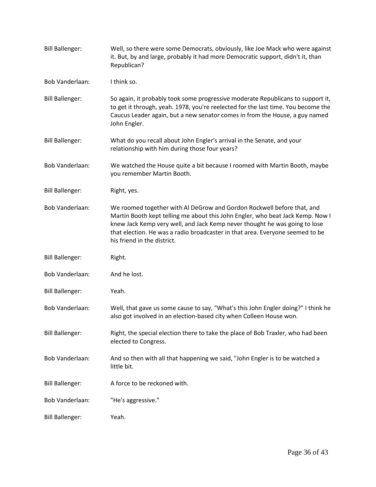| <b>Bill Ballenger:</b> | Well, so there were some Democrats, obviously, like Joe Mack who were against<br>it. But, by and large, probably it had more Democratic support, didn't it, than<br>Republican?                                                                                                                                                                        |
|------------------------|--------------------------------------------------------------------------------------------------------------------------------------------------------------------------------------------------------------------------------------------------------------------------------------------------------------------------------------------------------|
| <b>Bob Vanderlaan:</b> | I think so.                                                                                                                                                                                                                                                                                                                                            |
| <b>Bill Ballenger:</b> | So again, it probably took some progressive moderate Republicans to support it,<br>to get it through, yeah. 1978, you're reelected for the last time. You become the<br>Caucus Leader again, but a new senator comes in from the House, a guy named<br>John Engler.                                                                                    |
| <b>Bill Ballenger:</b> | What do you recall about John Engler's arrival in the Senate, and your<br>relationship with him during those four years?                                                                                                                                                                                                                               |
| <b>Bob Vanderlaan:</b> | We watched the House quite a bit because I roomed with Martin Booth, maybe<br>you remember Martin Booth.                                                                                                                                                                                                                                               |
| <b>Bill Ballenger:</b> | Right, yes.                                                                                                                                                                                                                                                                                                                                            |
| <b>Bob Vanderlaan:</b> | We roomed together with Al DeGrow and Gordon Rockwell before that, and<br>Martin Booth kept telling me about this John Engler, who beat Jack Kemp. Now I<br>knew Jack Kemp very well, and Jack Kemp never thought he was going to lose<br>that election. He was a radio broadcaster in that area. Everyone seemed to be<br>his friend in the district. |
| <b>Bill Ballenger:</b> | Right.                                                                                                                                                                                                                                                                                                                                                 |
| Bob Vanderlaan:        | And he lost.                                                                                                                                                                                                                                                                                                                                           |
| <b>Bill Ballenger:</b> | Yeah.                                                                                                                                                                                                                                                                                                                                                  |
| <b>Bob Vanderlaan:</b> | Well, that gave us some cause to say, "What's this John Engler doing?" I think he<br>also got involved in an election-based city when Colleen House won.                                                                                                                                                                                               |
| <b>Bill Ballenger:</b> | Right, the special election there to take the place of Bob Traxler, who had been<br>elected to Congress.                                                                                                                                                                                                                                               |
| <b>Bob Vanderlaan:</b> | And so then with all that happening we said, "John Engler is to be watched a<br>little bit.                                                                                                                                                                                                                                                            |
| <b>Bill Ballenger:</b> | A force to be reckoned with.                                                                                                                                                                                                                                                                                                                           |
| Bob Vanderlaan:        | "He's aggressive."                                                                                                                                                                                                                                                                                                                                     |
| <b>Bill Ballenger:</b> | Yeah.                                                                                                                                                                                                                                                                                                                                                  |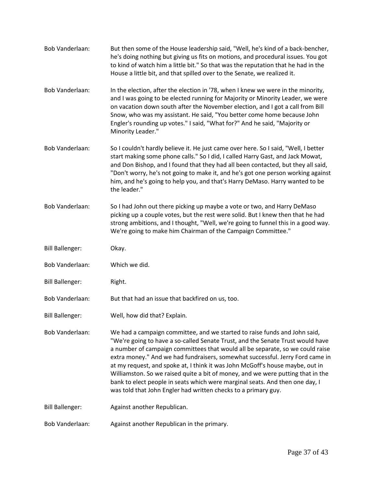Bob Vanderlaan: But then some of the House leadership said, "Well, he's kind of a back-bencher, he's doing nothing but giving us fits on motions, and procedural issues. You got to kind of watch him a little bit." So that was the reputation that he had in the House a little bit, and that spilled over to the Senate, we realized it. Bob Vanderlaan: In the election, after the election in '78, when I knew we were in the minority, and I was going to be elected running for Majority or Minority Leader, we were on vacation down south after the November election, and I got a call from Bill Snow, who was my assistant. He said, "You better come home because John Engler's rounding up votes." I said, "What for?" And he said, "Majority or Minority Leader." Bob Vanderlaan: So I couldn't hardly believe it. He just came over here. So I said, "Well, I better start making some phone calls." So I did, I called Harry Gast, and Jack Mowat, and Don Bishop, and I found that they had all been contacted, but they all said, "Don't worry, he's not going to make it, and he's got one person working against him, and he's going to help you, and that's Harry DeMaso. Harry wanted to be the leader." Bob Vanderlaan: So I had John out there picking up maybe a vote or two, and Harry DeMaso picking up a couple votes, but the rest were solid. But I knew then that he had strong ambitions, and I thought, "Well, we're going to funnel this in a good way. We're going to make him Chairman of the Campaign Committee." Bill Ballenger: Okay. Bob Vanderlaan: Which we did. Bill Ballenger: Right. Bob Vanderlaan: But that had an issue that backfired on us, too. Bill Ballenger: Well, how did that? Explain. Bob Vanderlaan: We had a campaign committee, and we started to raise funds and John said, "We're going to have a so-called Senate Trust, and the Senate Trust would have a number of campaign committees that would all be separate, so we could raise extra money." And we had fundraisers, somewhat successful. Jerry Ford came in at my request, and spoke at, I think it was John McGoff's house maybe, out in Williamston. So we raised quite a bit of money, and we were putting that in the bank to elect people in seats which were marginal seats. And then one day, I was told that John Engler had written checks to a primary guy. Bill Ballenger: Against another Republican. Bob Vanderlaan: Against another Republican in the primary.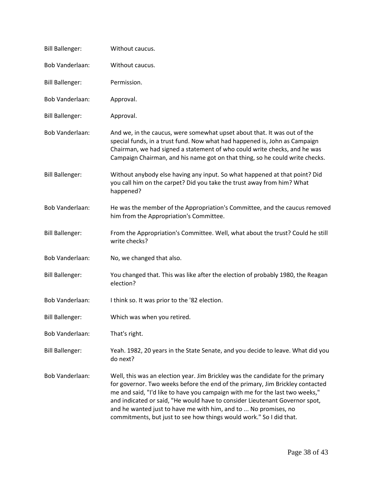| <b>Bill Ballenger:</b> | Without caucus.                                                                                                                                                                                                                                                                                                                                                                                                                                                           |
|------------------------|---------------------------------------------------------------------------------------------------------------------------------------------------------------------------------------------------------------------------------------------------------------------------------------------------------------------------------------------------------------------------------------------------------------------------------------------------------------------------|
| <b>Bob Vanderlaan:</b> | Without caucus.                                                                                                                                                                                                                                                                                                                                                                                                                                                           |
| <b>Bill Ballenger:</b> | Permission.                                                                                                                                                                                                                                                                                                                                                                                                                                                               |
| Bob Vanderlaan:        | Approval.                                                                                                                                                                                                                                                                                                                                                                                                                                                                 |
| <b>Bill Ballenger:</b> | Approval.                                                                                                                                                                                                                                                                                                                                                                                                                                                                 |
| <b>Bob Vanderlaan:</b> | And we, in the caucus, were somewhat upset about that. It was out of the<br>special funds, in a trust fund. Now what had happened is, John as Campaign<br>Chairman, we had signed a statement of who could write checks, and he was<br>Campaign Chairman, and his name got on that thing, so he could write checks.                                                                                                                                                       |
| <b>Bill Ballenger:</b> | Without anybody else having any input. So what happened at that point? Did<br>you call him on the carpet? Did you take the trust away from him? What<br>happened?                                                                                                                                                                                                                                                                                                         |
| Bob Vanderlaan:        | He was the member of the Appropriation's Committee, and the caucus removed<br>him from the Appropriation's Committee.                                                                                                                                                                                                                                                                                                                                                     |
| <b>Bill Ballenger:</b> | From the Appropriation's Committee. Well, what about the trust? Could he still<br>write checks?                                                                                                                                                                                                                                                                                                                                                                           |
| Bob Vanderlaan:        | No, we changed that also.                                                                                                                                                                                                                                                                                                                                                                                                                                                 |
| <b>Bill Ballenger:</b> | You changed that. This was like after the election of probably 1980, the Reagan<br>election?                                                                                                                                                                                                                                                                                                                                                                              |
| <b>Bob Vanderlaan:</b> | I think so. It was prior to the '82 election.                                                                                                                                                                                                                                                                                                                                                                                                                             |
| <b>Bill Ballenger:</b> | Which was when you retired.                                                                                                                                                                                                                                                                                                                                                                                                                                               |
| Bob Vanderlaan:        | That's right.                                                                                                                                                                                                                                                                                                                                                                                                                                                             |
| <b>Bill Ballenger:</b> | Yeah. 1982, 20 years in the State Senate, and you decide to leave. What did you<br>do next?                                                                                                                                                                                                                                                                                                                                                                               |
| <b>Bob Vanderlaan:</b> | Well, this was an election year. Jim Brickley was the candidate for the primary<br>for governor. Two weeks before the end of the primary, Jim Brickley contacted<br>me and said, "I'd like to have you campaign with me for the last two weeks,"<br>and indicated or said, "He would have to consider Lieutenant Governor spot,<br>and he wanted just to have me with him, and to  No promises, no<br>commitments, but just to see how things would work." So I did that. |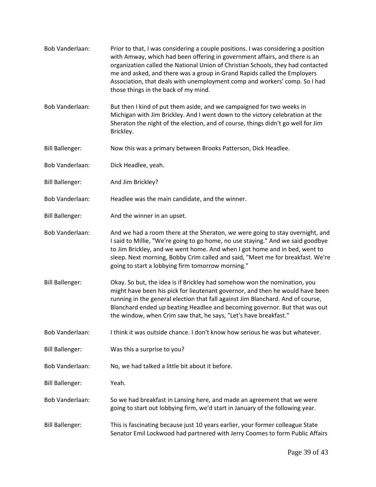| Bob Vanderlaan:        | Prior to that, I was considering a couple positions. I was considering a position<br>with Amway, which had been offering in government affairs, and there is an<br>organization called the National Union of Christian Schools, they had contacted<br>me and asked, and there was a group in Grand Rapids called the Employers<br>Association, that deals with unemployment comp and workers' comp. So I had<br>those things in the back of my mind. |
|------------------------|------------------------------------------------------------------------------------------------------------------------------------------------------------------------------------------------------------------------------------------------------------------------------------------------------------------------------------------------------------------------------------------------------------------------------------------------------|
| Bob Vanderlaan:        | But then I kind of put them aside, and we campaigned for two weeks in<br>Michigan with Jim Brickley. And I went down to the victory celebration at the<br>Sheraton the night of the election, and of course, things didn't go well for Jim<br>Brickley.                                                                                                                                                                                              |
| <b>Bill Ballenger:</b> | Now this was a primary between Brooks Patterson, Dick Headlee.                                                                                                                                                                                                                                                                                                                                                                                       |
| Bob Vanderlaan:        | Dick Headlee, yeah.                                                                                                                                                                                                                                                                                                                                                                                                                                  |
| <b>Bill Ballenger:</b> | And Jim Brickley?                                                                                                                                                                                                                                                                                                                                                                                                                                    |
| <b>Bob Vanderlaan:</b> | Headlee was the main candidate, and the winner.                                                                                                                                                                                                                                                                                                                                                                                                      |
| <b>Bill Ballenger:</b> | And the winner in an upset.                                                                                                                                                                                                                                                                                                                                                                                                                          |
| Bob Vanderlaan:        | And we had a room there at the Sheraton, we were going to stay overnight, and<br>I said to Millie, "We're going to go home, no use staying." And we said goodbye<br>to Jim Brickley, and we went home. And when I got home and in bed, went to<br>sleep. Next morning, Bobby Crim called and said, "Meet me for breakfast. We're<br>going to start a lobbying firm tomorrow morning."                                                                |
| <b>Bill Ballenger:</b> | Okay. So but, the idea is if Brickley had somehow won the nomination, you<br>might have been his pick for lieutenant governor, and then he would have been<br>running in the general election that fall against Jim Blanchard. And of course,<br>Blanchard ended up beating Headlee and becoming governor. But that was out<br>the window, when Crim saw that, he says, "Let's have breakfast."                                                      |
| <b>Bob Vanderlaan:</b> | I think it was outside chance. I don't know how serious he was but whatever.                                                                                                                                                                                                                                                                                                                                                                         |
| <b>Bill Ballenger:</b> | Was this a surprise to you?                                                                                                                                                                                                                                                                                                                                                                                                                          |
| <b>Bob Vanderlaan:</b> | No, we had talked a little bit about it before.                                                                                                                                                                                                                                                                                                                                                                                                      |
| <b>Bill Ballenger:</b> | Yeah.                                                                                                                                                                                                                                                                                                                                                                                                                                                |
| Bob Vanderlaan:        | So we had breakfast in Lansing here, and made an agreement that we were<br>going to start out lobbying firm, we'd start in January of the following year.                                                                                                                                                                                                                                                                                            |
| <b>Bill Ballenger:</b> | This is fascinating because just 10 years earlier, your former colleague State<br>Senator Emil Lockwood had partnered with Jerry Coomes to form Public Affairs                                                                                                                                                                                                                                                                                       |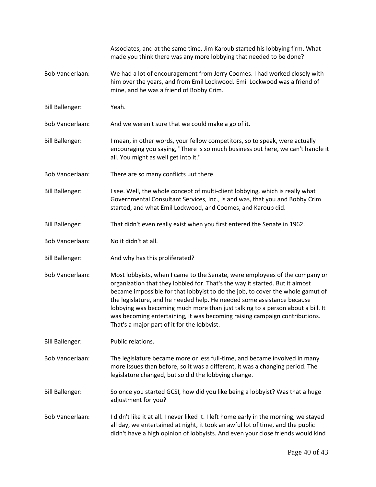|                        | Associates, and at the same time, Jim Karoub started his lobbying firm. What<br>made you think there was any more lobbying that needed to be done?                                                                                                                                                                                                                                                                                                                                                                                     |
|------------------------|----------------------------------------------------------------------------------------------------------------------------------------------------------------------------------------------------------------------------------------------------------------------------------------------------------------------------------------------------------------------------------------------------------------------------------------------------------------------------------------------------------------------------------------|
| <b>Bob Vanderlaan:</b> | We had a lot of encouragement from Jerry Coomes. I had worked closely with<br>him over the years, and from Emil Lockwood. Emil Lockwood was a friend of<br>mine, and he was a friend of Bobby Crim.                                                                                                                                                                                                                                                                                                                                    |
| <b>Bill Ballenger:</b> | Yeah.                                                                                                                                                                                                                                                                                                                                                                                                                                                                                                                                  |
| <b>Bob Vanderlaan:</b> | And we weren't sure that we could make a go of it.                                                                                                                                                                                                                                                                                                                                                                                                                                                                                     |
| <b>Bill Ballenger:</b> | I mean, in other words, your fellow competitors, so to speak, were actually<br>encouraging you saying, "There is so much business out here, we can't handle it<br>all. You might as well get into it."                                                                                                                                                                                                                                                                                                                                 |
| Bob Vanderlaan:        | There are so many conflicts uut there.                                                                                                                                                                                                                                                                                                                                                                                                                                                                                                 |
| <b>Bill Ballenger:</b> | I see. Well, the whole concept of multi-client lobbying, which is really what<br>Governmental Consultant Services, Inc., is and was, that you and Bobby Crim<br>started, and what Emil Lockwood, and Coomes, and Karoub did.                                                                                                                                                                                                                                                                                                           |
| <b>Bill Ballenger:</b> | That didn't even really exist when you first entered the Senate in 1962.                                                                                                                                                                                                                                                                                                                                                                                                                                                               |
| Bob Vanderlaan:        | No it didn't at all.                                                                                                                                                                                                                                                                                                                                                                                                                                                                                                                   |
| <b>Bill Ballenger:</b> | And why has this proliferated?                                                                                                                                                                                                                                                                                                                                                                                                                                                                                                         |
| Bob Vanderlaan:        | Most lobbyists, when I came to the Senate, were employees of the company or<br>organization that they lobbied for. That's the way it started. But it almost<br>became impossible for that lobbyist to do the job, to cover the whole gamut of<br>the legislature, and he needed help. He needed some assistance because<br>lobbying was becoming much more than just talking to a person about a bill. It<br>was becoming entertaining, it was becoming raising campaign contributions.<br>That's a major part of it for the lobbyist. |
| <b>Bill Ballenger:</b> | Public relations.                                                                                                                                                                                                                                                                                                                                                                                                                                                                                                                      |
| Bob Vanderlaan:        | The legislature became more or less full-time, and became involved in many<br>more issues than before, so it was a different, it was a changing period. The<br>legislature changed, but so did the lobbying change.                                                                                                                                                                                                                                                                                                                    |
| <b>Bill Ballenger:</b> | So once you started GCSI, how did you like being a lobbyist? Was that a huge<br>adjustment for you?                                                                                                                                                                                                                                                                                                                                                                                                                                    |
| Bob Vanderlaan:        | I didn't like it at all. I never liked it. I left home early in the morning, we stayed<br>all day, we entertained at night, it took an awful lot of time, and the public<br>didn't have a high opinion of lobbyists. And even your close friends would kind                                                                                                                                                                                                                                                                            |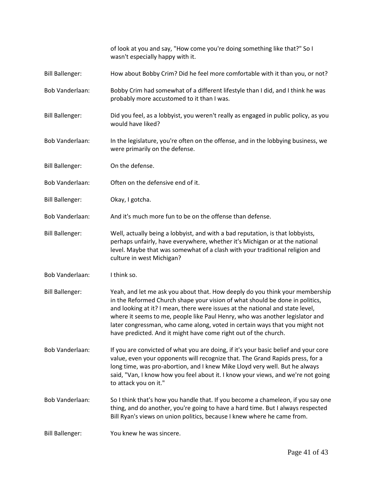of look at you and say, "How come you're doing something like that?" So I wasn't especially happy with it. Bill Ballenger: How about Bobby Crim? Did he feel more comfortable with it than you, or not? Bob Vanderlaan: Bobby Crim had somewhat of a different lifestyle than I did, and I think he was probably more accustomed to it than I was. Bill Ballenger: Did you feel, as a lobbyist, you weren't really as engaged in public policy, as you would have liked? Bob Vanderlaan: In the legislature, you're often on the offense, and in the lobbying business, we were primarily on the defense. Bill Ballenger: On the defense. Bob Vanderlaan: Often on the defensive end of it. Bill Ballenger: Okay, I gotcha. Bob Vanderlaan: And it's much more fun to be on the offense than defense. Bill Ballenger: Well, actually being a lobbyist, and with a bad reputation, is that lobbyists, perhaps unfairly, have everywhere, whether it's Michigan or at the national level. Maybe that was somewhat of a clash with your traditional religion and culture in west Michigan? Bob Vanderlaan: I think so. Bill Ballenger: Yeah, and let me ask you about that. How deeply do you think your membership in the Reformed Church shape your vision of what should be done in politics, and looking at it? I mean, there were issues at the national and state level, where it seems to me, people like Paul Henry, who was another legislator and later congressman, who came along, voted in certain ways that you might not have predicted. And it might have come right out of the church. Bob Vanderlaan: If you are convicted of what you are doing, if it's your basic belief and your core value, even your opponents will recognize that. The Grand Rapids press, for a long time, was pro-abortion, and I knew Mike Lloyd very well. But he always said, "Van, I know how you feel about it. I know your views, and we're not going to attack you on it." Bob Vanderlaan: So I think that's how you handle that. If you become a chameleon, if you say one thing, and do another, you're going to have a hard time. But I always respected Bill Ryan's views on union politics, because I knew where he came from. Bill Ballenger: You knew he was sincere.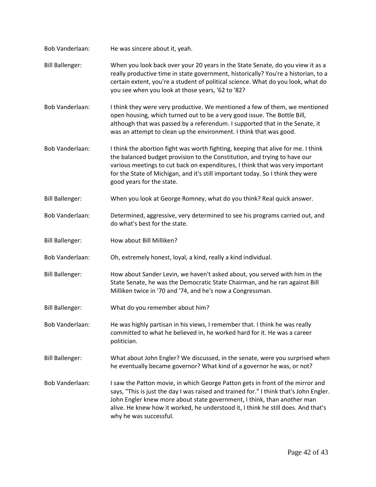| Bob Vanderlaan:        | He was sincere about it, yeah.                                                                                                                                                                                                                                                                                                                                     |
|------------------------|--------------------------------------------------------------------------------------------------------------------------------------------------------------------------------------------------------------------------------------------------------------------------------------------------------------------------------------------------------------------|
| <b>Bill Ballenger:</b> | When you look back over your 20 years in the State Senate, do you view it as a<br>really productive time in state government, historically? You're a historian, to a<br>certain extent, you're a student of political science. What do you look, what do<br>you see when you look at those years, '62 to '82?                                                      |
| Bob Vanderlaan:        | I think they were very productive. We mentioned a few of them, we mentioned<br>open housing, which turned out to be a very good issue. The Bottle Bill,<br>although that was passed by a referendum. I supported that in the Senate, it<br>was an attempt to clean up the environment. I think that was good.                                                      |
| Bob Vanderlaan:        | I think the abortion fight was worth fighting, keeping that alive for me. I think<br>the balanced budget provision to the Constitution, and trying to have our<br>various meetings to cut back on expenditures, I think that was very important<br>for the State of Michigan, and it's still important today. So I think they were<br>good years for the state.    |
| <b>Bill Ballenger:</b> | When you look at George Romney, what do you think? Real quick answer.                                                                                                                                                                                                                                                                                              |
| Bob Vanderlaan:        | Determined, aggressive, very determined to see his programs carried out, and<br>do what's best for the state.                                                                                                                                                                                                                                                      |
| <b>Bill Ballenger:</b> | How about Bill Milliken?                                                                                                                                                                                                                                                                                                                                           |
| Bob Vanderlaan:        | Oh, extremely honest, loyal, a kind, really a kind individual.                                                                                                                                                                                                                                                                                                     |
| <b>Bill Ballenger:</b> | How about Sander Levin, we haven't asked about, you served with him in the<br>State Senate, he was the Democratic State Chairman, and he ran against Bill<br>Milliken twice in '70 and '74, and he's now a Congressman.                                                                                                                                            |
| <b>Bill Ballenger:</b> | What do you remember about him?                                                                                                                                                                                                                                                                                                                                    |
| Bob Vanderlaan:        | He was highly partisan in his views, I remember that. I think he was really<br>committed to what he believed in, he worked hard for it. He was a career<br>politician.                                                                                                                                                                                             |
| <b>Bill Ballenger:</b> | What about John Engler? We discussed, in the senate, were you surprised when<br>he eventually became governor? What kind of a governor he was, or not?                                                                                                                                                                                                             |
| Bob Vanderlaan:        | I saw the Patton movie, in which George Patton gets in front of the mirror and<br>says, "This is just the day I was raised and trained for." I think that's John Engler.<br>John Engler knew more about state government, I think, than another man<br>alive. He knew how it worked, he understood it, I think he still does. And that's<br>why he was successful. |